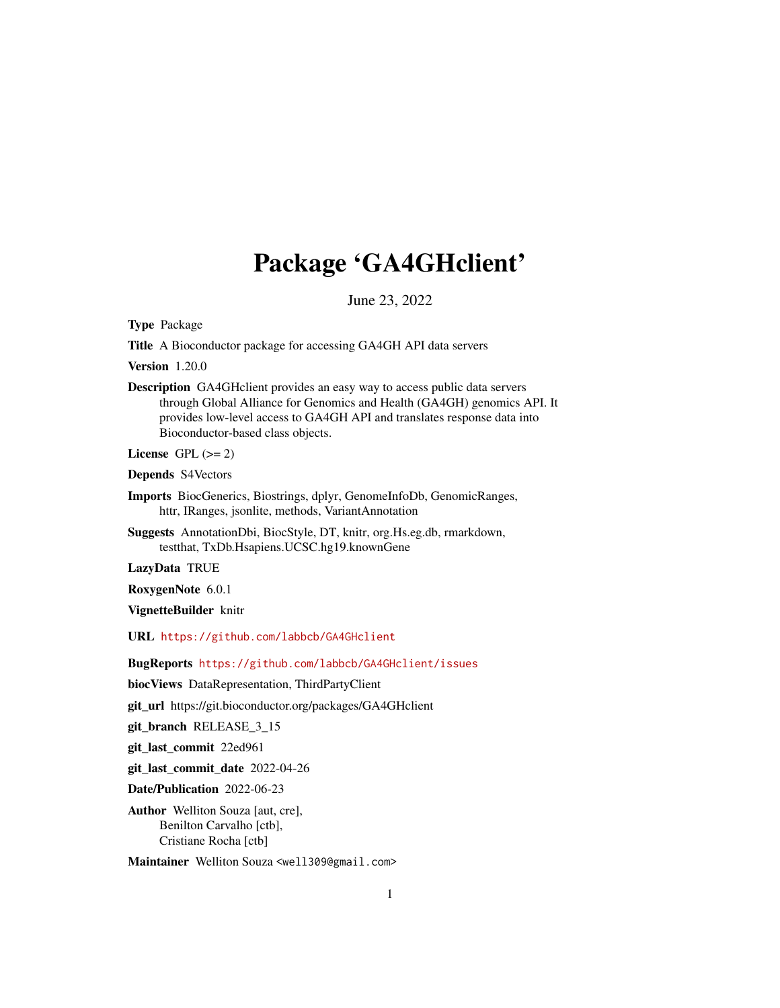# Package 'GA4GHclient'

June 23, 2022

<span id="page-0-0"></span>Type Package

Title A Bioconductor package for accessing GA4GH API data servers

Version 1.20.0

Description GA4GHclient provides an easy way to access public data servers through Global Alliance for Genomics and Health (GA4GH) genomics API. It provides low-level access to GA4GH API and translates response data into Bioconductor-based class objects.

License GPL  $(>= 2)$ 

Depends S4Vectors

- Imports BiocGenerics, Biostrings, dplyr, GenomeInfoDb, GenomicRanges, httr, IRanges, jsonlite, methods, VariantAnnotation
- Suggests AnnotationDbi, BiocStyle, DT, knitr, org.Hs.eg.db, rmarkdown, testthat, TxDb.Hsapiens.UCSC.hg19.knownGene

LazyData TRUE

RoxygenNote 6.0.1

VignetteBuilder knitr

URL <https://github.com/labbcb/GA4GHclient>

BugReports <https://github.com/labbcb/GA4GHclient/issues>

biocViews DataRepresentation, ThirdPartyClient

git\_url https://git.bioconductor.org/packages/GA4GHclient

git\_branch RELEASE\_3\_15

git\_last\_commit 22ed961

git\_last\_commit\_date 2022-04-26

Date/Publication 2022-06-23

Author Welliton Souza [aut, cre], Benilton Carvalho [ctb], Cristiane Rocha [ctb]

Maintainer Welliton Souza <well309@gmail.com>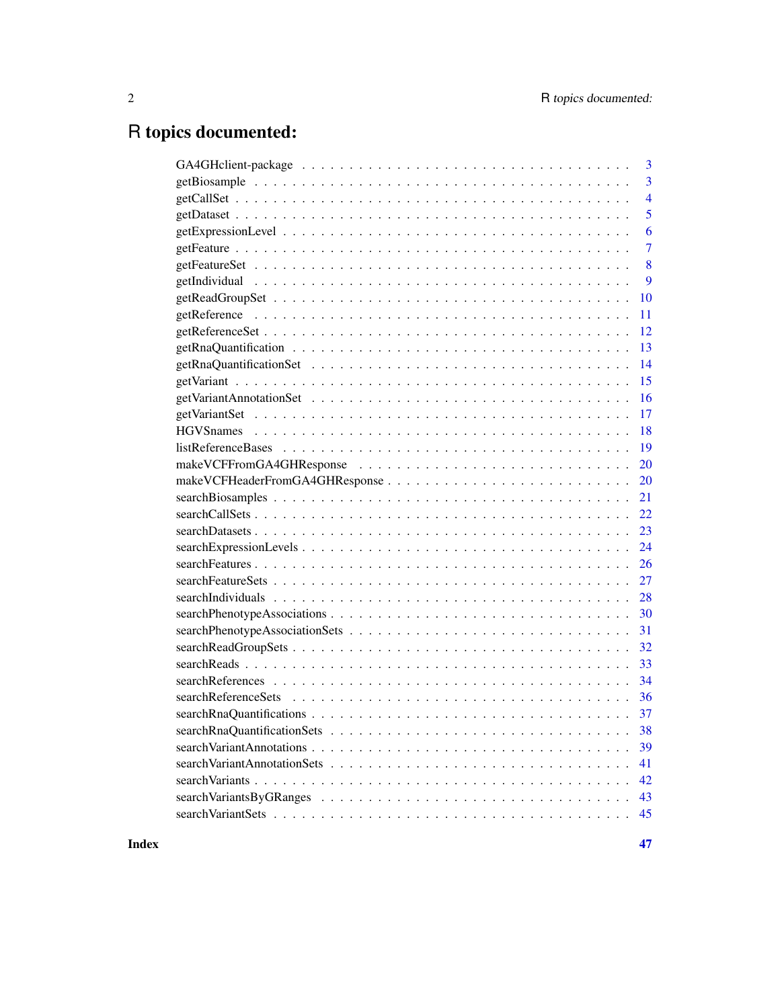# R topics documented:

| 3                                                                                                                               |
|---------------------------------------------------------------------------------------------------------------------------------|
| $\overline{3}$                                                                                                                  |
| $\overline{4}$                                                                                                                  |
| 5                                                                                                                               |
| 6                                                                                                                               |
| $\overline{7}$                                                                                                                  |
| 8                                                                                                                               |
| 9                                                                                                                               |
| 10                                                                                                                              |
| 11                                                                                                                              |
| 12                                                                                                                              |
| 13                                                                                                                              |
| 14                                                                                                                              |
| 15                                                                                                                              |
| 16                                                                                                                              |
| 17                                                                                                                              |
| 18                                                                                                                              |
| 19                                                                                                                              |
| 20                                                                                                                              |
| 20                                                                                                                              |
| 21                                                                                                                              |
| $searchCalls \dots \dots \dots \dots \dots \dots \dots \dots \dots \dots \dots \dots \dots \dots \dots \dots \dots \dots$<br>22 |
| 23                                                                                                                              |
| 24                                                                                                                              |
| 26                                                                                                                              |
| 27                                                                                                                              |
| 28                                                                                                                              |
| 30                                                                                                                              |
| 31                                                                                                                              |
|                                                                                                                                 |
|                                                                                                                                 |
|                                                                                                                                 |
|                                                                                                                                 |
|                                                                                                                                 |
|                                                                                                                                 |
| 39                                                                                                                              |
| 41                                                                                                                              |
| 42                                                                                                                              |
| 43                                                                                                                              |
| 45                                                                                                                              |
|                                                                                                                                 |

**Index** [47](#page-46-0)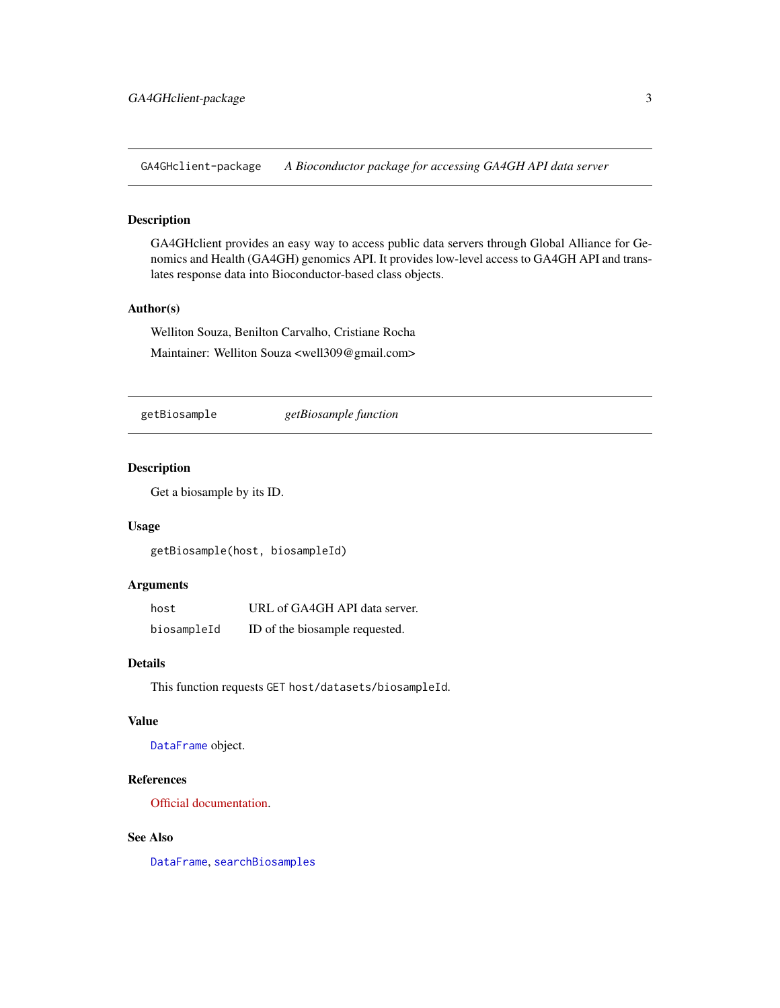<span id="page-2-0"></span>GA4GHclient-package *A Bioconductor package for accessing GA4GH API data server*

# Description

GA4GHclient provides an easy way to access public data servers through Global Alliance for Genomics and Health (GA4GH) genomics API. It provides low-level access to GA4GH API and translates response data into Bioconductor-based class objects.

# Author(s)

Welliton Souza, Benilton Carvalho, Cristiane Rocha Maintainer: Welliton Souza <well309@gmail.com>

<span id="page-2-1"></span>getBiosample *getBiosample function*

# Description

Get a biosample by its ID.

#### Usage

getBiosample(host, biosampleId)

#### Arguments

| host        | URL of GA4GH API data server.  |
|-------------|--------------------------------|
| biosampleId | ID of the biosample requested. |

#### Details

This function requests GET host/datasets/biosampleId.

#### Value

[DataFrame](#page-0-0) object.

# References

[Official documentation.](http://ga4gh-schemas.readthedocs.io/en/latest/schemas/bio_metadata_service.proto.html#GetBiosample)

# See Also

[DataFrame](#page-0-0), [searchBiosamples](#page-20-1)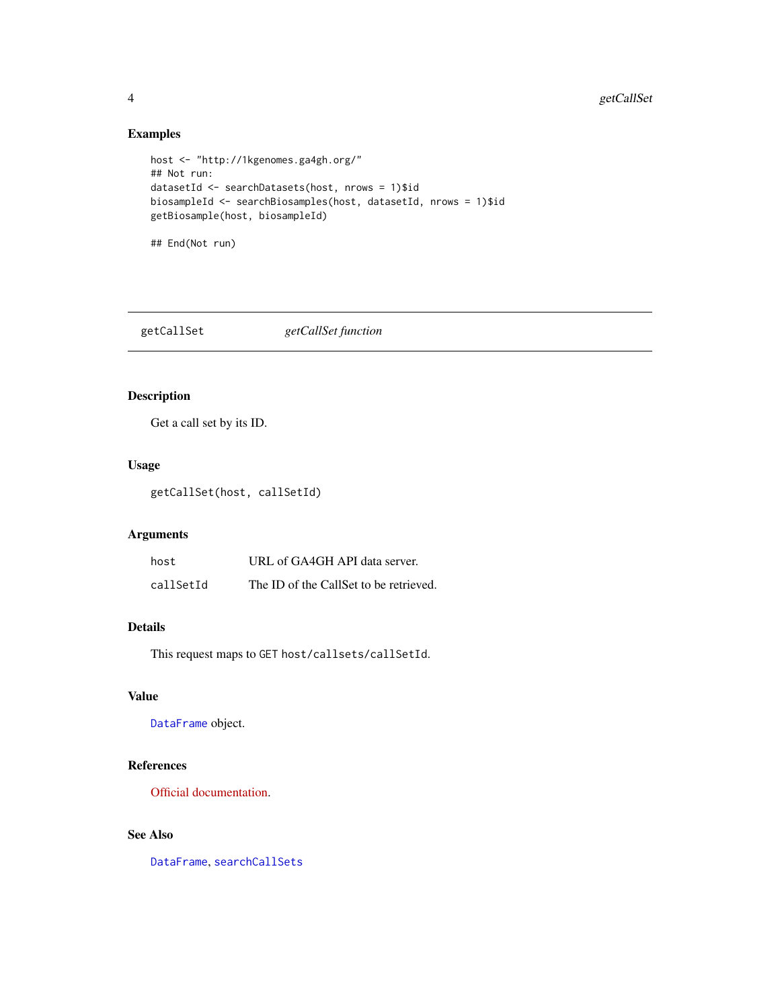# Examples

```
host <- "http://1kgenomes.ga4gh.org/"
## Not run:
datasetId <- searchDatasets(host, nrows = 1)$id
biosampleId <- searchBiosamples(host, datasetId, nrows = 1)$id
getBiosample(host, biosampleId)
```
## End(Not run)

<span id="page-3-1"></span>getCallSet *getCallSet function*

# Description

Get a call set by its ID.

# Usage

getCallSet(host, callSetId)

#### Arguments

| host      | URL of GA4GH API data server.          |
|-----------|----------------------------------------|
| callSetId | The ID of the CallSet to be retrieved. |

# Details

This request maps to GET host/callsets/callSetId.

# Value

[DataFrame](#page-0-0) object.

# References

[Official documentation.](https://ga4gh-schemas.readthedocs.io/en/latest/schemas/variant_service.proto.html#GetCallSet)

# See Also

[DataFrame](#page-0-0), [searchCallSets](#page-21-1)

<span id="page-3-0"></span>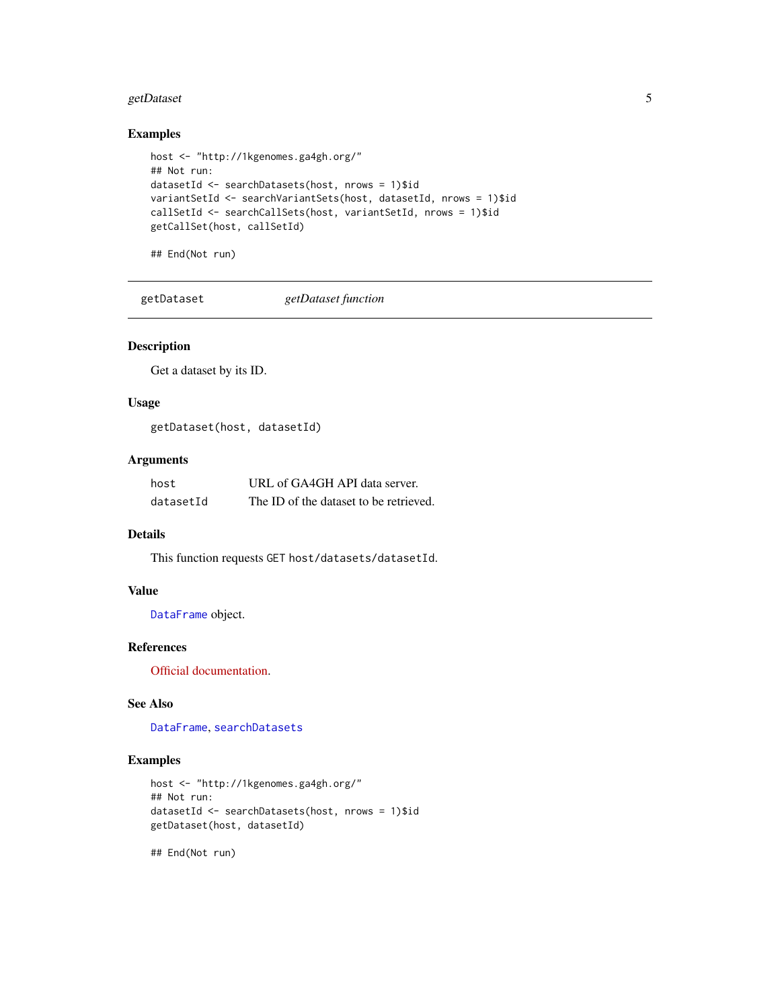# <span id="page-4-0"></span>getDataset 5

# Examples

```
host <- "http://1kgenomes.ga4gh.org/"
## Not run:
datasetId <- searchDatasets(host, nrows = 1)$id
variantSetId <- searchVariantSets(host, datasetId, nrows = 1)$id
callSetId <- searchCallSets(host, variantSetId, nrows = 1)$id
getCallSet(host, callSetId)
```
## End(Not run)

<span id="page-4-1"></span>getDataset *getDataset function*

#### Description

Get a dataset by its ID.

# Usage

getDataset(host, datasetId)

#### Arguments

| host      | URL of GA4GH API data server.          |
|-----------|----------------------------------------|
| datasetId | The ID of the dataset to be retrieved. |

# Details

This function requests GET host/datasets/datasetId.

#### Value

[DataFrame](#page-0-0) object.

# References

[Official documentation.](https://ga4gh-schemas.readthedocs.io/en/latest/schemas/metadata_service.proto.html#GetDataset)

# See Also

[DataFrame](#page-0-0), [searchDatasets](#page-22-1)

# Examples

```
host <- "http://1kgenomes.ga4gh.org/"
## Not run:
datasetId <- searchDatasets(host, nrows = 1)$id
getDataset(host, datasetId)
```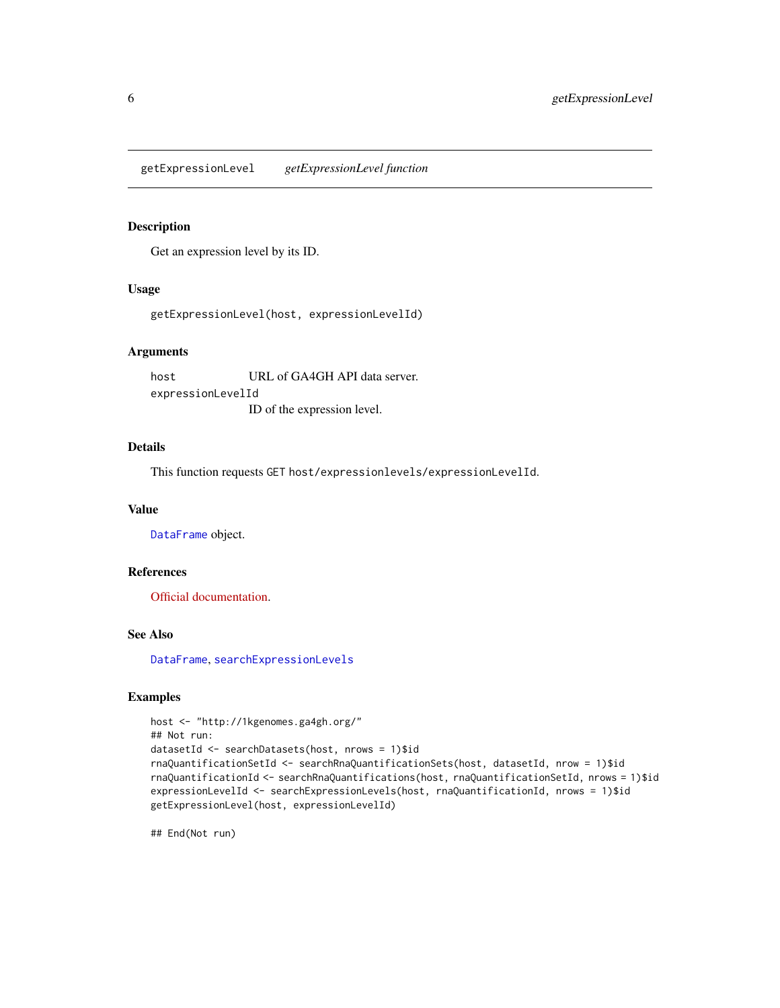<span id="page-5-1"></span><span id="page-5-0"></span>getExpressionLevel *getExpressionLevel function*

#### Description

Get an expression level by its ID.

#### Usage

getExpressionLevel(host, expressionLevelId)

#### Arguments

host URL of GA4GH API data server. expressionLevelId ID of the expression level.

#### Details

This function requests GET host/expressionlevels/expressionLevelId.

#### Value

[DataFrame](#page-0-0) object.

#### References

[Official documentation.](https://ga4gh-schemas.readthedocs.io/en/latest/schemas/rna_quantification_service.proto.html#GetExpressionLevel)

#### See Also

[DataFrame](#page-0-0), [searchExpressionLevels](#page-23-1)

#### Examples

```
host <- "http://1kgenomes.ga4gh.org/"
## Not run:
datasetId <- searchDatasets(host, nrows = 1)$id
rnaQuantificationSetId <- searchRnaQuantificationSets(host, datasetId, nrow = 1)$id
rnaQuantificationId <- searchRnaQuantifications(host, rnaQuantificationSetId, nrows = 1)$id
expressionLevelId <- searchExpressionLevels(host, rnaQuantificationId, nrows = 1)$id
getExpressionLevel(host, expressionLevelId)
```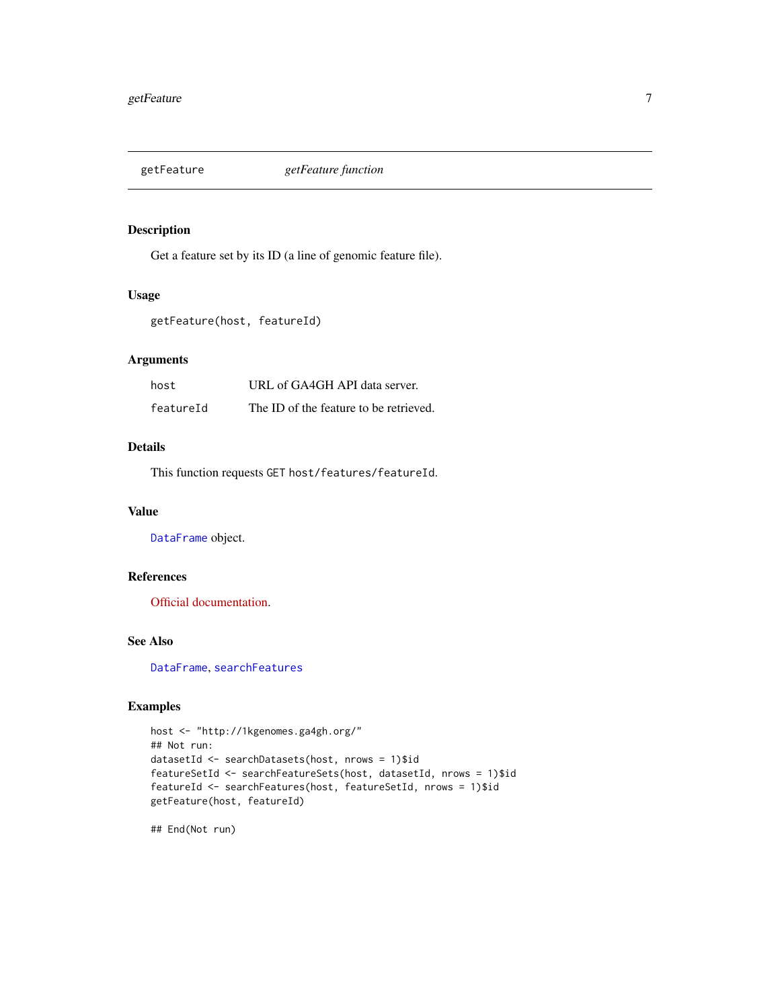<span id="page-6-1"></span><span id="page-6-0"></span>

# Description

Get a feature set by its ID (a line of genomic feature file).

#### Usage

```
getFeature(host, featureId)
```
#### Arguments

| host      | URL of GA4GH API data server.          |
|-----------|----------------------------------------|
| featureId | The ID of the feature to be retrieved. |

# Details

This function requests GET host/features/featureId.

# Value

[DataFrame](#page-0-0) object.

# References

[Official documentation.](https://ga4gh-schemas.readthedocs.io/en/latest/schemas/sequence_annotation_service.proto.html#GetFeature)

# See Also

[DataFrame](#page-0-0), [searchFeatures](#page-25-1)

# Examples

```
host <- "http://1kgenomes.ga4gh.org/"
## Not run:
datasetId <- searchDatasets(host, nrows = 1)$id
featureSetId <- searchFeatureSets(host, datasetId, nrows = 1)$id
featureId <- searchFeatures(host, featureSetId, nrows = 1)$id
getFeature(host, featureId)
```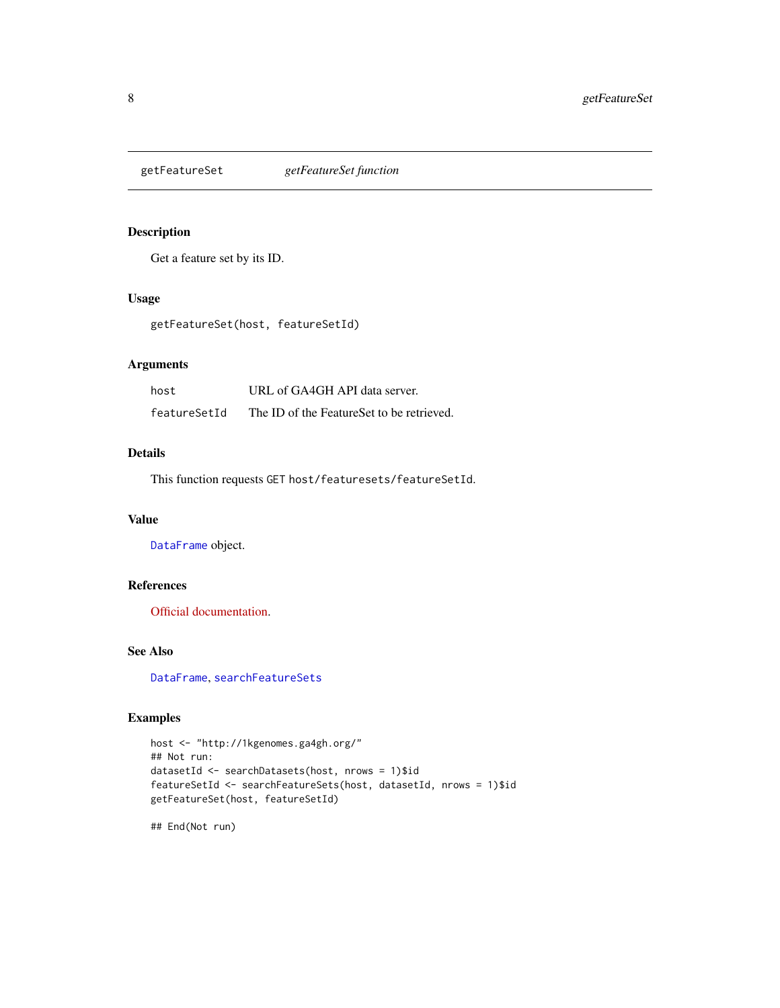<span id="page-7-1"></span><span id="page-7-0"></span>

# Description

Get a feature set by its ID.

#### Usage

getFeatureSet(host, featureSetId)

# Arguments

| host         | URL of GA4GH API data server.             |
|--------------|-------------------------------------------|
| featureSetId | The ID of the FeatureSet to be retrieved. |

#### Details

This function requests GET host/featuresets/featureSetId.

# Value

[DataFrame](#page-0-0) object.

# References

[Official documentation.](https://ga4gh-schemas.readthedocs.io/en/latest/schemas/sequence_annotation_service.proto.html#GetFeatureSet)

# See Also

[DataFrame](#page-0-0), [searchFeatureSets](#page-26-1)

#### Examples

```
host <- "http://1kgenomes.ga4gh.org/"
## Not run:
datasetId <- searchDatasets(host, nrows = 1)$id
featureSetId <- searchFeatureSets(host, datasetId, nrows = 1)$id
getFeatureSet(host, featureSetId)
```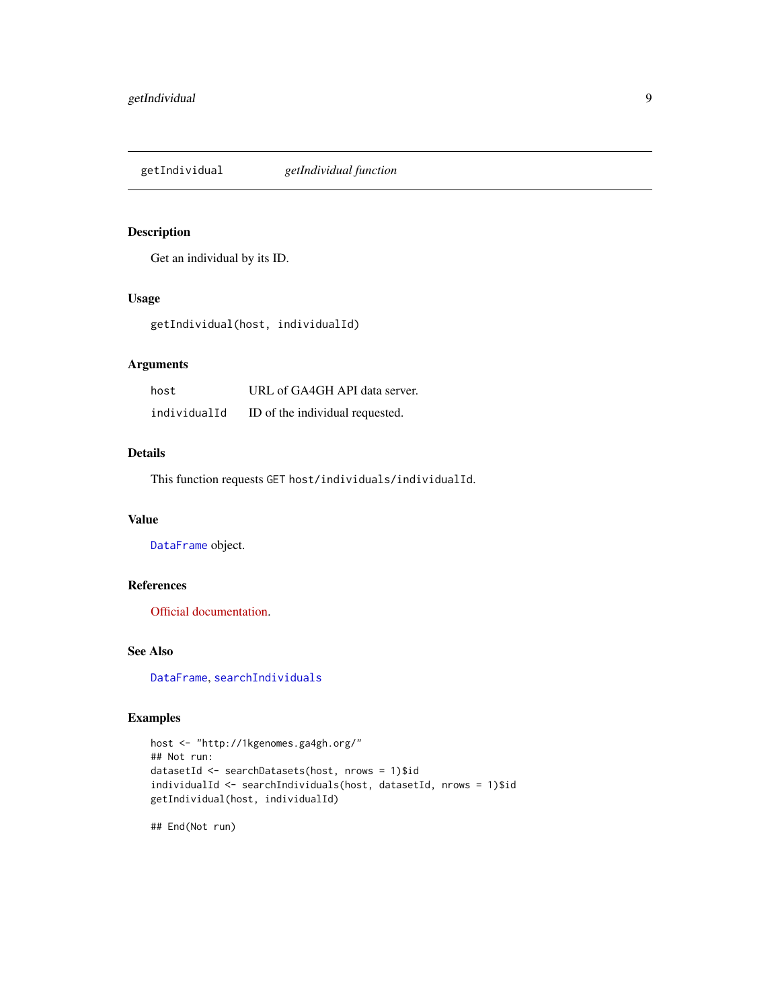<span id="page-8-1"></span><span id="page-8-0"></span>getIndividual *getIndividual function*

#### Description

Get an individual by its ID.

#### Usage

getIndividual(host, individualId)

# Arguments

| host         | URL of GA4GH API data server.   |
|--------------|---------------------------------|
| individualId | ID of the individual requested. |

#### Details

This function requests GET host/individuals/individualId.

# Value

[DataFrame](#page-0-0) object.

# References

[Official documentation.](http://ga4gh-schemas.readthedocs.io/en/latest/schemas/bio_metadata_service.proto.html#GetIndividual)

# See Also

[DataFrame](#page-0-0), [searchIndividuals](#page-27-1)

#### Examples

```
host <- "http://1kgenomes.ga4gh.org/"
## Not run:
datasetId <- searchDatasets(host, nrows = 1)$id
individualId <- searchIndividuals(host, datasetId, nrows = 1)$id
getIndividual(host, individualId)
```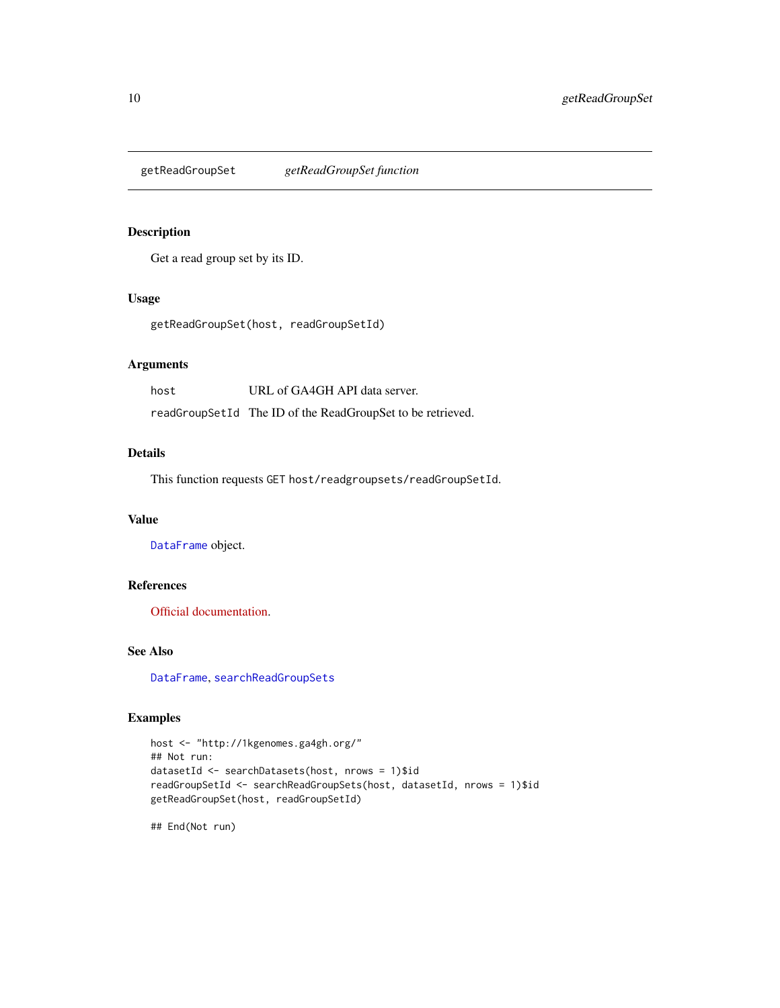<span id="page-9-1"></span><span id="page-9-0"></span>getReadGroupSet *getReadGroupSet function*

# Description

Get a read group set by its ID.

#### Usage

getReadGroupSet(host, readGroupSetId)

# Arguments

| host | URL of GA4GH API data server.                              |
|------|------------------------------------------------------------|
|      | readGroupSetId The ID of the ReadGroupSet to be retrieved. |

#### Details

This function requests GET host/readgroupsets/readGroupSetId.

# Value

[DataFrame](#page-0-0) object.

# References

[Official documentation.](https://ga4gh-schemas.readthedocs.io/en/latest/schemas/read_service.proto.html#GetReadGroupSet)

#### See Also

[DataFrame](#page-0-0), [searchReadGroupSets](#page-31-1)

#### Examples

```
host <- "http://1kgenomes.ga4gh.org/"
## Not run:
datasetId <- searchDatasets(host, nrows = 1)$id
readGroupSetId <- searchReadGroupSets(host, datasetId, nrows = 1)$id
getReadGroupSet(host, readGroupSetId)
```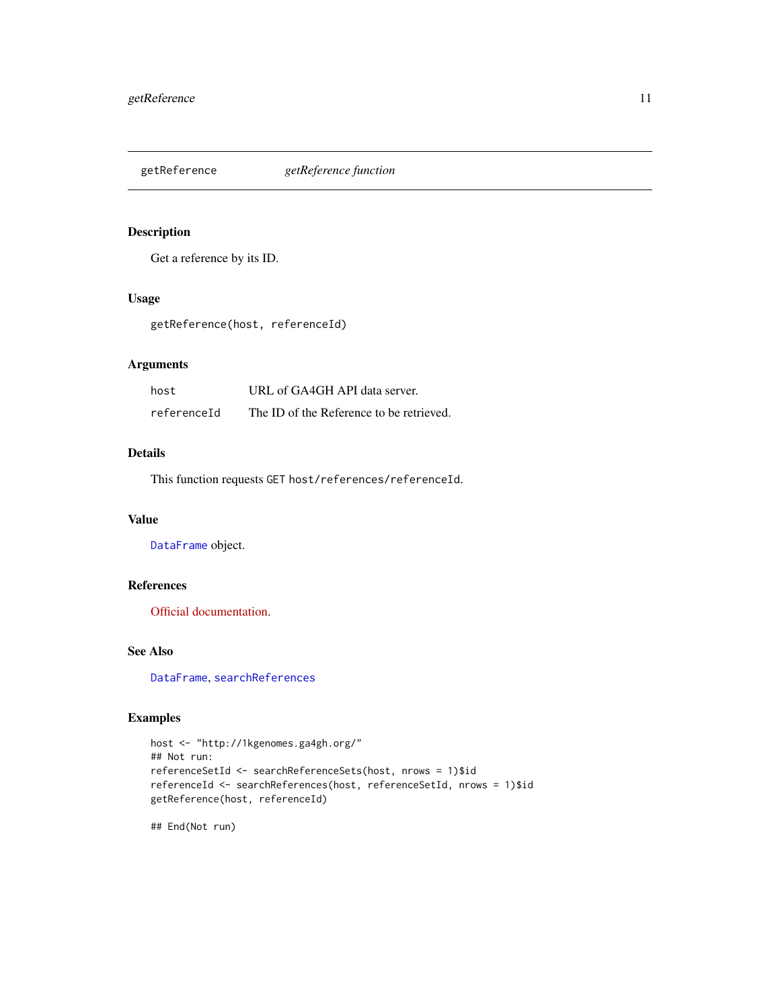<span id="page-10-1"></span><span id="page-10-0"></span>

# Description

Get a reference by its ID.

#### Usage

getReference(host, referenceId)

# Arguments

| host        | URL of GA4GH API data server.            |
|-------------|------------------------------------------|
| referenceId | The ID of the Reference to be retrieved. |

#### Details

This function requests GET host/references/referenceId.

# Value

[DataFrame](#page-0-0) object.

# References

[Official documentation.](https://ga4gh-schemas.readthedocs.io/en/latest/schemas/reference_service.proto.html#GetReference)

# See Also

[DataFrame](#page-0-0), [searchReferences](#page-33-1)

#### Examples

```
host <- "http://1kgenomes.ga4gh.org/"
## Not run:
referenceSetId <- searchReferenceSets(host, nrows = 1)$id
referenceId <- searchReferences(host, referenceSetId, nrows = 1)$id
getReference(host, referenceId)
```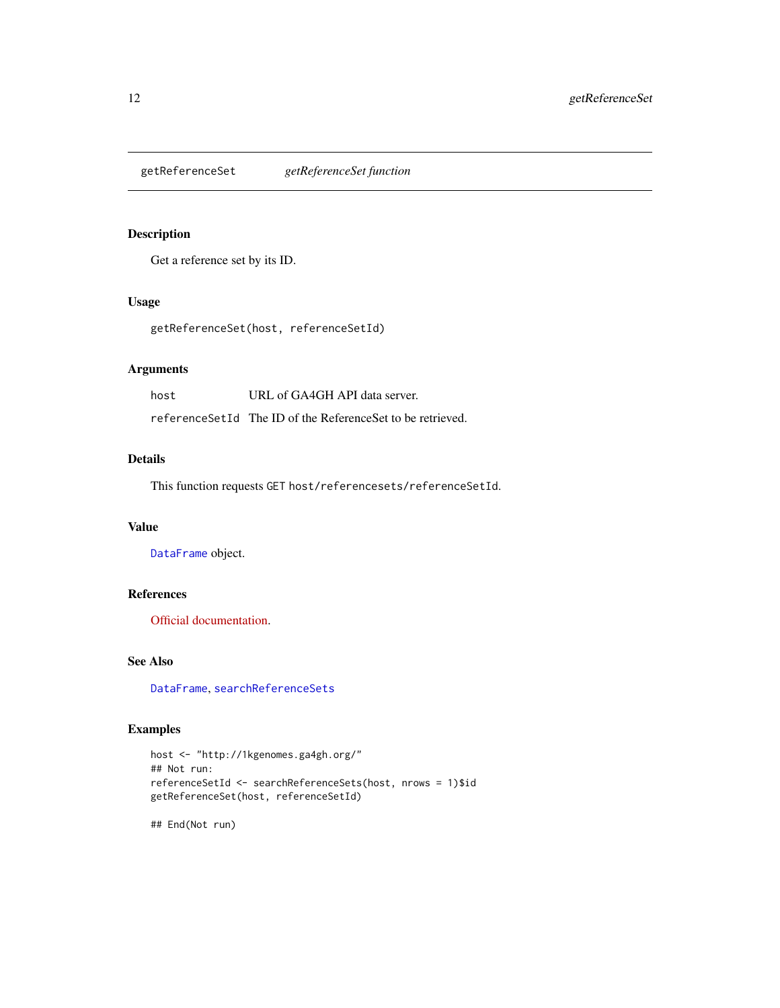<span id="page-11-1"></span><span id="page-11-0"></span>getReferenceSet *getReferenceSet function*

# Description

Get a reference set by its ID.

# Usage

getReferenceSet(host, referenceSetId)

# Arguments

| host | URL of GA4GH API data server.                                 |
|------|---------------------------------------------------------------|
|      | reference Set Id The ID of the Reference Set to be retrieved. |

#### Details

This function requests GET host/referencesets/referenceSetId.

#### Value

[DataFrame](#page-0-0) object.

# References

[Official documentation.](https://ga4gh-schemas.readthedocs.io/en/latest/schemas/reference_service.proto.html#GetReferenceSet)

#### See Also

[DataFrame](#page-0-0), [searchReferenceSets](#page-35-1)

#### Examples

```
host <- "http://1kgenomes.ga4gh.org/"
## Not run:
referenceSetId <- searchReferenceSets(host, nrows = 1)$id
getReferenceSet(host, referenceSetId)
```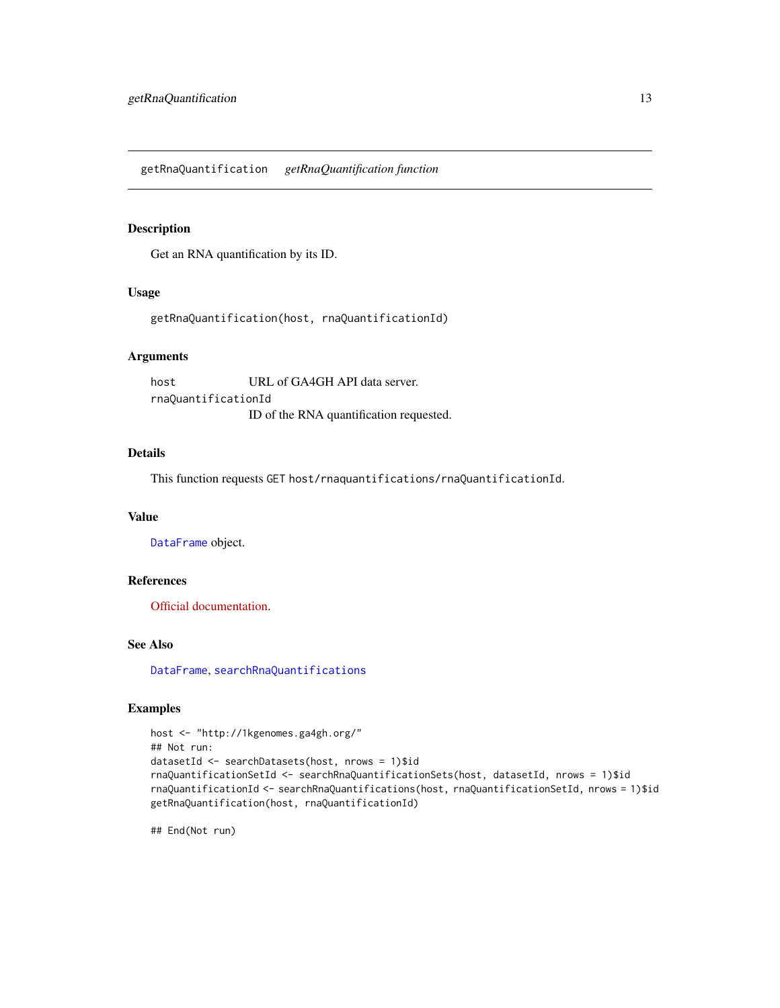<span id="page-12-0"></span>getRnaQuantification *getRnaQuantification function*

#### Description

Get an RNA quantification by its ID.

# Usage

getRnaQuantification(host, rnaQuantificationId)

# Arguments

host URL of GA4GH API data server. rnaQuantificationId ID of the RNA quantification requested.

#### Details

This function requests GET host/rnaquantifications/rnaQuantificationId.

#### Value

[DataFrame](#page-0-0) object.

#### References

[Official documentation.](http://ga4gh-schemas.readthedocs.io/en/latest/schemas/rna_quantification_service.proto.html#GetRnaQuantification)

# See Also

[DataFrame](#page-0-0), [searchRnaQuantifications](#page-36-1)

# Examples

```
host <- "http://1kgenomes.ga4gh.org/"
## Not run:
datasetId <- searchDatasets(host, nrows = 1)$id
rnaQuantificationSetId <- searchRnaQuantificationSets(host, datasetId, nrows = 1)$id
rnaQuantificationId <- searchRnaQuantifications(host, rnaQuantificationSetId, nrows = 1)$id
getRnaQuantification(host, rnaQuantificationId)
```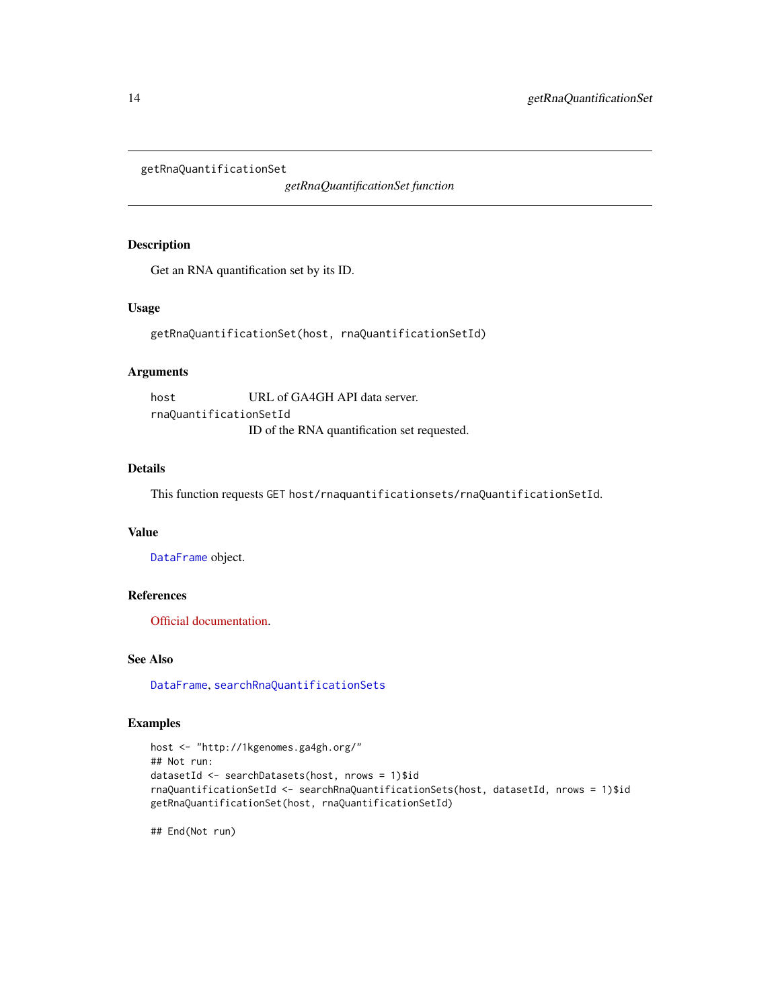<span id="page-13-1"></span><span id="page-13-0"></span>getRnaQuantificationSet

*getRnaQuantificationSet function*

# Description

Get an RNA quantification set by its ID.

# Usage

getRnaQuantificationSet(host, rnaQuantificationSetId)

# Arguments

host URL of GA4GH API data server. rnaQuantificationSetId ID of the RNA quantification set requested.

# Details

This function requests GET host/rnaquantificationsets/rnaQuantificationSetId.

# Value

[DataFrame](#page-0-0) object.

# References

[Official documentation.](http://ga4gh-schemas.readthedocs.io/en/latest/schemas/rna_quantification_service.proto.html#GetRnaQuantificationSet)

# See Also

[DataFrame](#page-0-0), [searchRnaQuantificationSets](#page-37-1)

#### Examples

```
host <- "http://1kgenomes.ga4gh.org/"
## Not run:
datasetId <- searchDatasets(host, nrows = 1)$id
rnaQuantificationSetId <- searchRnaQuantificationSets(host, datasetId, nrows = 1)$id
getRnaQuantificationSet(host, rnaQuantificationSetId)
```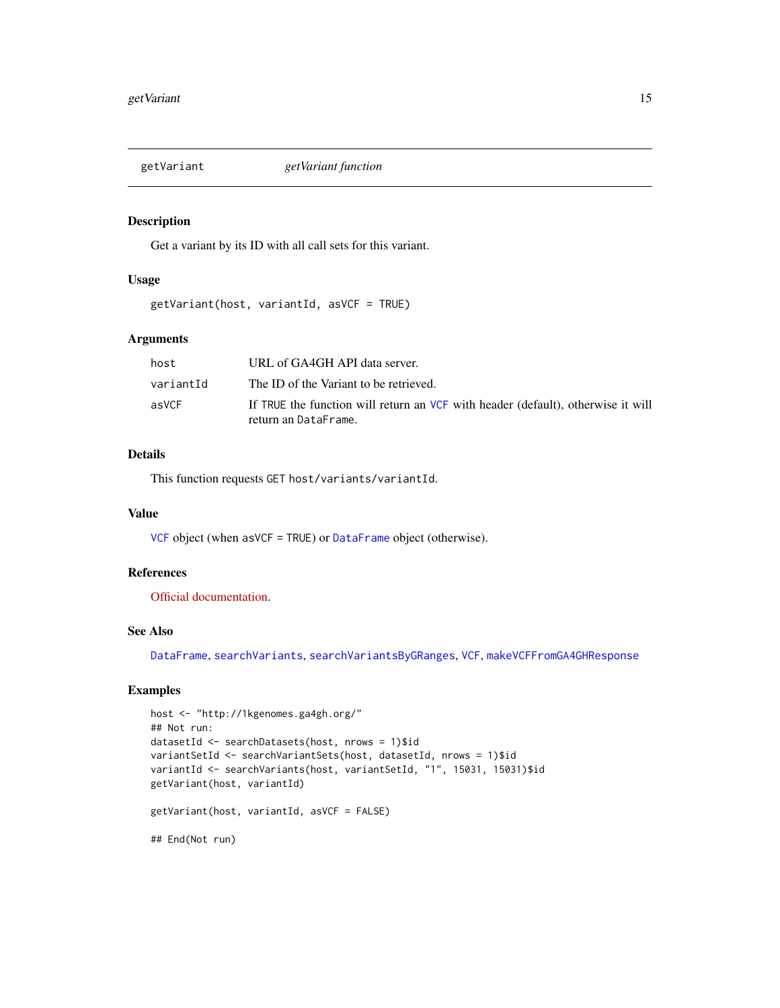<span id="page-14-1"></span><span id="page-14-0"></span>

#### Description

Get a variant by its ID with all call sets for this variant.

# Usage

```
getVariant(host, variantId, asVCF = TRUE)
```
# Arguments

| host      | URL of GA4GH API data server.                                                    |
|-----------|----------------------------------------------------------------------------------|
| variantId | The ID of the Variant to be retrieved.                                           |
| asVCF     | If TRUE the function will return an VCF with header (default), otherwise it will |
|           | return an DataFrame.                                                             |

# Details

This function requests GET host/variants/variantId.

#### Value

[VCF](#page-0-0) object (when asVCF = TRUE) or [DataFrame](#page-0-0) object (otherwise).

#### References

[Official documentation.](https://ga4gh-schemas.readthedocs.io/en/latest/schemas/variant_service.proto.html#GetVariant)

#### See Also

[DataFrame](#page-0-0), [searchVariants](#page-41-1), [searchVariantsByGRanges](#page-42-1), [VCF](#page-0-0), [makeVCFFromGA4GHResponse](#page-19-1)

# Examples

```
host <- "http://1kgenomes.ga4gh.org/"
## Not run:
datasetId <- searchDatasets(host, nrows = 1)$id
variantSetId <- searchVariantSets(host, datasetId, nrows = 1)$id
variantId <- searchVariants(host, variantSetId, "1", 15031, 15031)$id
getVariant(host, variantId)
getVariant(host, variantId, asVCF = FALSE)
## End(Not run)
```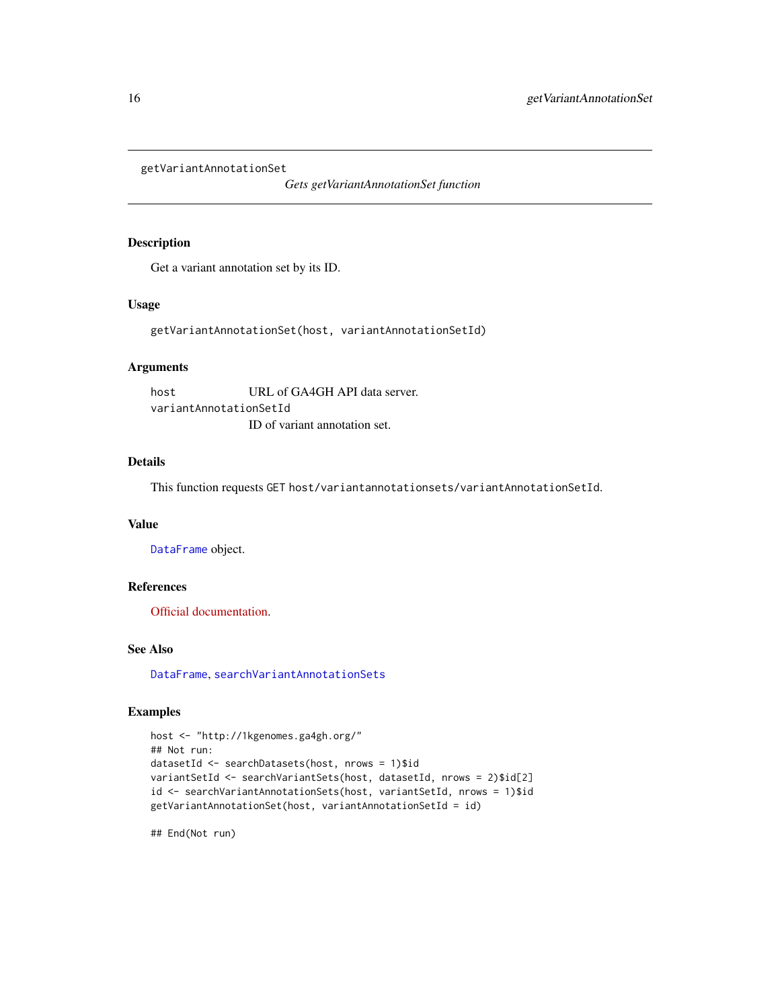<span id="page-15-0"></span>getVariantAnnotationSet

*Gets getVariantAnnotationSet function*

# Description

Get a variant annotation set by its ID.

#### Usage

getVariantAnnotationSet(host, variantAnnotationSetId)

# Arguments

host URL of GA4GH API data server. variantAnnotationSetId ID of variant annotation set.

# Details

This function requests GET host/variantannotationsets/variantAnnotationSetId.

#### Value

[DataFrame](#page-0-0) object.

# References

[Official documentation.](https://ga4gh-schemas.readthedocs.io/en/latest/schemas/allele_annotation_service.proto.html#GetVariantAnnotationSet)

#### See Also

[DataFrame](#page-0-0), [searchVariantAnnotationSets](#page-40-1)

# Examples

```
host <- "http://1kgenomes.ga4gh.org/"
## Not run:
datasetId <- searchDatasets(host, nrows = 1)$id
variantSetId <- searchVariantSets(host, datasetId, nrows = 2)$id[2]
id <- searchVariantAnnotationSets(host, variantSetId, nrows = 1)$id
getVariantAnnotationSet(host, variantAnnotationSetId = id)
```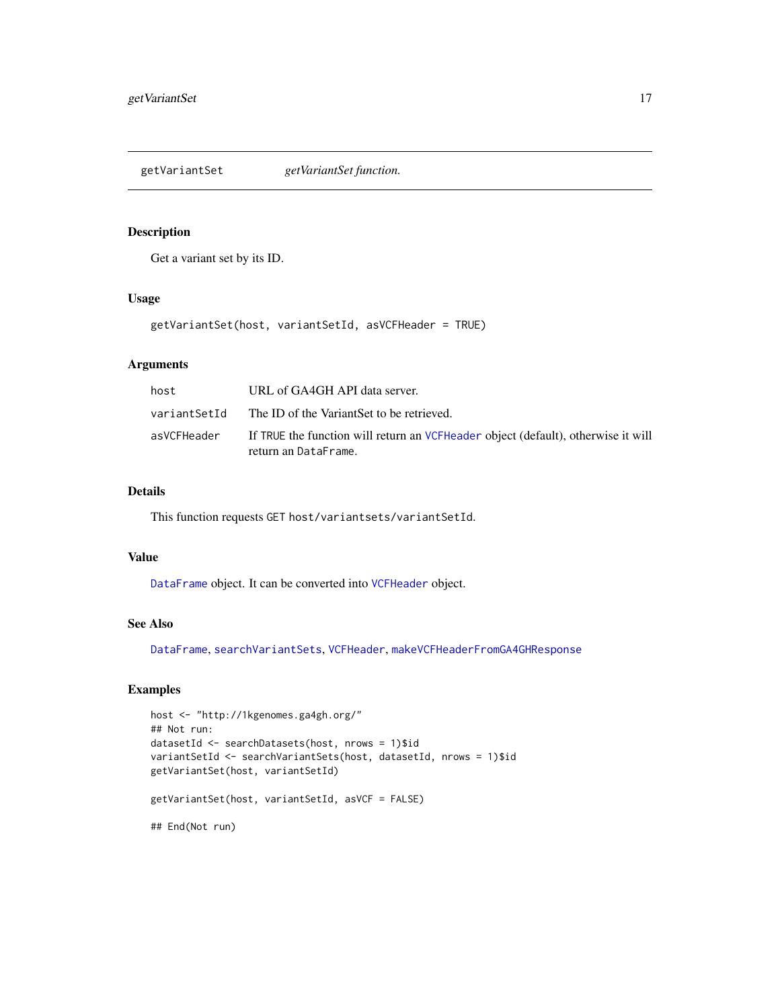<span id="page-16-1"></span><span id="page-16-0"></span>getVariantSet *getVariantSet function.*

#### Description

Get a variant set by its ID.

#### Usage

getVariantSet(host, variantSetId, asVCFHeader = TRUE)

# Arguments

| host         | URL of GA4GH API data server.                                                                             |
|--------------|-----------------------------------------------------------------------------------------------------------|
| variantSetId | The ID of the VariantSet to be retrieved.                                                                 |
| asVCFHeader  | If TRUE the function will return an VCFHeader object (default), otherwise it will<br>return an DataFrame. |

# Details

This function requests GET host/variantsets/variantSetId.

#### Value

[DataFrame](#page-0-0) object. It can be converted into [VCFHeader](#page-0-0) object.

# See Also

[DataFrame](#page-0-0), [searchVariantSets](#page-44-1), [VCFHeader](#page-0-0), [makeVCFHeaderFromGA4GHResponse](#page-19-2)

# Examples

```
host <- "http://1kgenomes.ga4gh.org/"
## Not run:
datasetId <- searchDatasets(host, nrows = 1)$id
variantSetId <- searchVariantSets(host, datasetId, nrows = 1)$id
getVariantSet(host, variantSetId)
getVariantSet(host, variantSetId, asVCF = FALSE)
## End(Not run)
```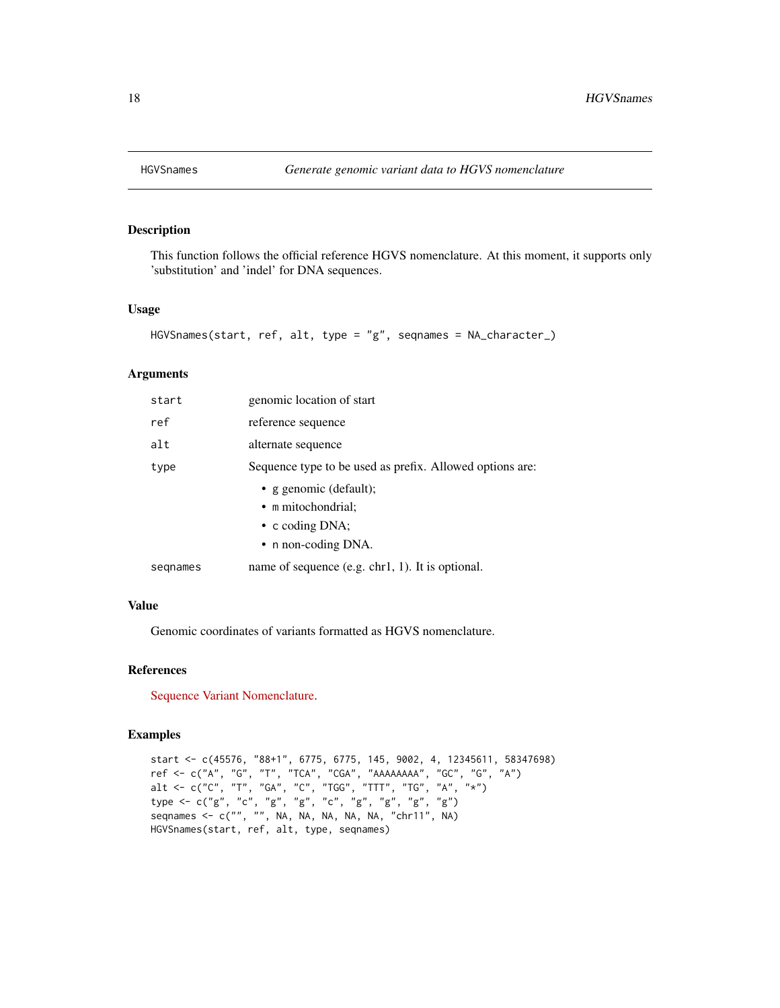<span id="page-17-0"></span>

# Description

This function follows the official reference HGVS nomenclature. At this moment, it supports only 'substitution' and 'indel' for DNA sequences.

#### Usage

```
HGVSnames(start, ref, alt, type = "g", seqnames = NA_character_)
```
#### Arguments

| start    | genomic location of start                                |
|----------|----------------------------------------------------------|
| ref      | reference sequence                                       |
| alt      | alternate sequence                                       |
| type     | Sequence type to be used as prefix. Allowed options are: |
|          | • g genomic (default);                                   |
|          | • m mitochondrial;                                       |
|          | $\bullet$ c coding DNA;                                  |
|          | • n non-coding DNA.                                      |
| segnames | name of sequence $(e.g. chr1, 1)$ . It is optional.      |

#### Value

Genomic coordinates of variants formatted as HGVS nomenclature.

### References

[Sequence Variant Nomenclature.](http://varnomen.hgvs.org/)

# Examples

```
start <- c(45576, "88+1", 6775, 6775, 145, 9002, 4, 12345611, 58347698)
ref <- c("A", "G", "T", "TCA", "CGA", "AAAAAAAA", "GC", "G", "A")
alt <- c("C", "T", "GA", "C", "TGG", "TTT", "TG", "A", "*")
type <- c("g", "c", "g", "g", "c", "g", "g", "g", "g")
seqnames <- c("", "", NA, NA, NA, NA, NA, "chr11", NA)
HGVSnames(start, ref, alt, type, seqnames)
```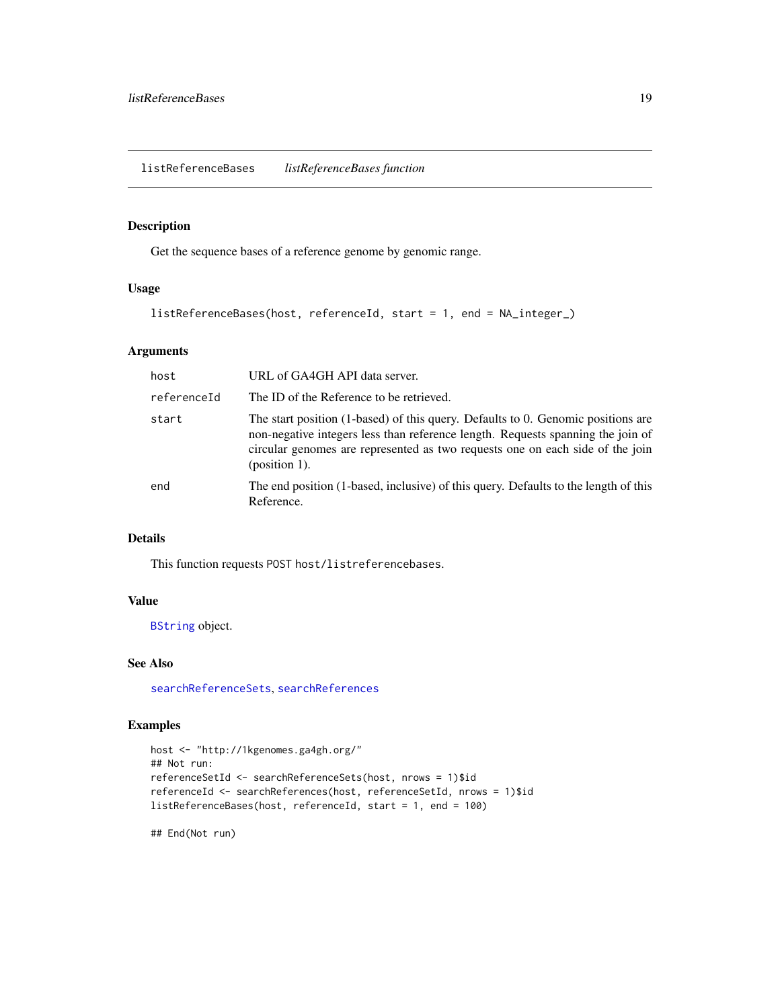<span id="page-18-0"></span>listReferenceBases *listReferenceBases function*

### Description

Get the sequence bases of a reference genome by genomic range.

#### Usage

```
listReferenceBases(host, referenceId, start = 1, end = NA_integer_)
```
# Arguments

| host        | URL of GA4GH API data server.                                                                                                                                                                                                                                            |
|-------------|--------------------------------------------------------------------------------------------------------------------------------------------------------------------------------------------------------------------------------------------------------------------------|
| referenceId | The ID of the Reference to be retrieved.                                                                                                                                                                                                                                 |
| start       | The start position (1-based) of this query. Defaults to 0. Genomic positions are<br>non-negative integers less than reference length. Requests spanning the join of<br>circular genomes are represented as two requests one on each side of the join<br>$(position 1)$ . |
| end         | The end position (1-based, inclusive) of this query. Defaults to the length of this<br>Reference.                                                                                                                                                                        |

# Details

This function requests POST host/listreferencebases.

# Value

[BString](#page-0-0) object.

# See Also

[searchReferenceSets](#page-35-1), [searchReferences](#page-33-1)

#### Examples

```
host <- "http://1kgenomes.ga4gh.org/"
## Not run:
referenceSetId <- searchReferenceSets(host, nrows = 1)$id
referenceId <- searchReferences(host, referenceSetId, nrows = 1)$id
listReferenceBases(host, referenceId, start = 1, end = 100)
```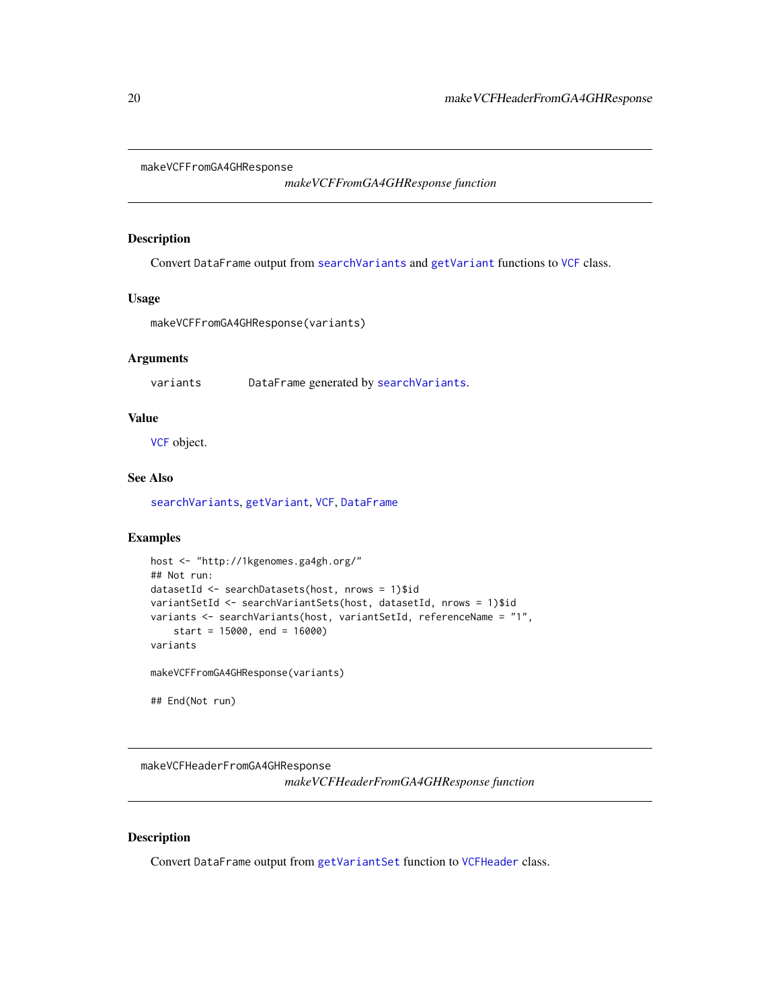<span id="page-19-1"></span><span id="page-19-0"></span>makeVCFFromGA4GHResponse

*makeVCFFromGA4GHResponse function*

#### Description

Convert DataFrame output from [searchVariants](#page-41-1) and [getVariant](#page-14-1) functions to [VCF](#page-0-0) class.

#### Usage

makeVCFFromGA4GHResponse(variants)

#### Arguments

variants DataFrame generated by [searchVariants](#page-41-1).

# Value

[VCF](#page-0-0) object.

# See Also

[searchVariants](#page-41-1), [getVariant](#page-14-1), [VCF](#page-0-0), [DataFrame](#page-0-0)

# Examples

```
host <- "http://1kgenomes.ga4gh.org/"
## Not run:
datasetId <- searchDatasets(host, nrows = 1)$id
variantSetId <- searchVariantSets(host, datasetId, nrows = 1)$id
variants <- searchVariants(host, variantSetId, referenceName = "1",
    start = 15000, end = 16000)
variants
makeVCFFromGA4GHResponse(variants)
## End(Not run)
```
<span id="page-19-2"></span>makeVCFHeaderFromGA4GHResponse *makeVCFHeaderFromGA4GHResponse function*

# Description

Convert DataFrame output from [getVariantSet](#page-16-1) function to [VCFHeader](#page-0-0) class.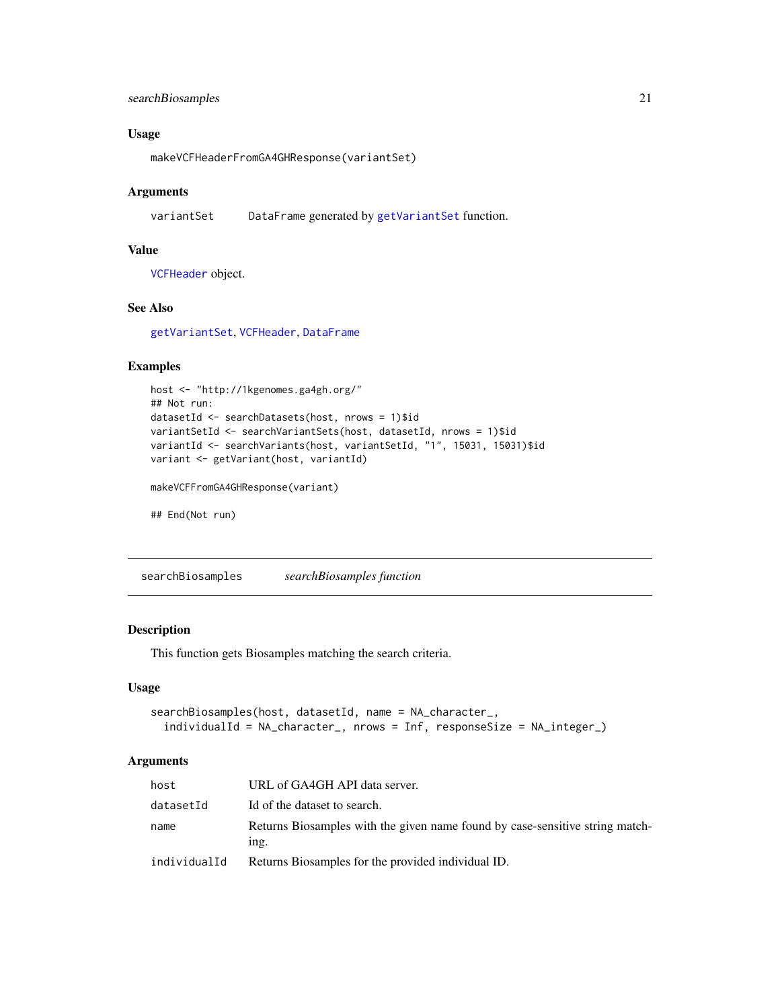# <span id="page-20-0"></span>searchBiosamples 21

# Usage

makeVCFHeaderFromGA4GHResponse(variantSet)

#### Arguments

variantSet DataFrame generated by [getVariantSet](#page-16-1) function.

# Value

[VCFHeader](#page-0-0) object.

# See Also

[getVariantSet](#page-16-1), [VCFHeader](#page-0-0), [DataFrame](#page-0-0)

#### Examples

```
host <- "http://1kgenomes.ga4gh.org/"
## Not run:
datasetId <- searchDatasets(host, nrows = 1)$id
variantSetId <- searchVariantSets(host, datasetId, nrows = 1)$id
variantId <- searchVariants(host, variantSetId, "1", 15031, 15031)$id
variant <- getVariant(host, variantId)
```
makeVCFFromGA4GHResponse(variant)

## End(Not run)

<span id="page-20-1"></span>searchBiosamples *searchBiosamples function*

# Description

This function gets Biosamples matching the search criteria.

#### Usage

```
searchBiosamples(host, datasetId, name = NA_character_,
  individualId = NA_character_, nrows = Inf, responseSize = NA_integer_)
```
#### Arguments

| host         | URL of GA4GH API data server.                                                           |
|--------------|-----------------------------------------------------------------------------------------|
| datasetId    | Id of the dataset to search.                                                            |
| name         | Returns Biosamples with the given name found by case-sensitive string match-<br>$1ng$ . |
| individualId | Returns Biosamples for the provided individual ID.                                      |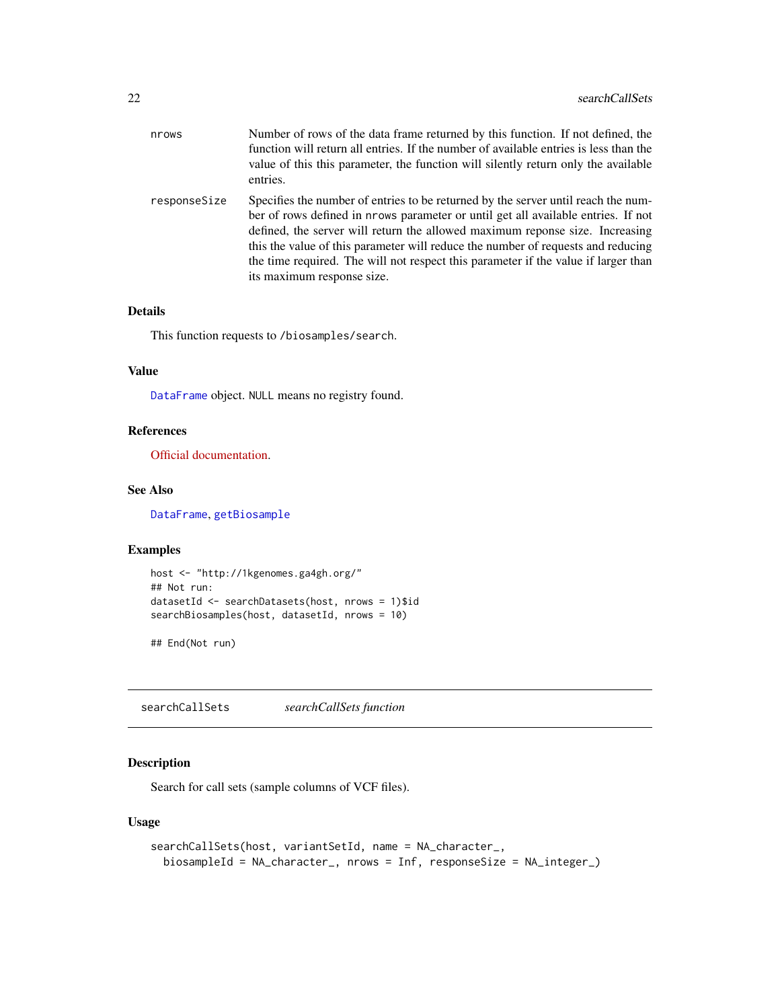<span id="page-21-0"></span>

| nrows        | Number of rows of the data frame returned by this function. If not defined, the<br>function will return all entries. If the number of available entries is less than the<br>value of this this parameter, the function will silently return only the available<br>entries.                                                                                                                                                                                     |
|--------------|----------------------------------------------------------------------------------------------------------------------------------------------------------------------------------------------------------------------------------------------------------------------------------------------------------------------------------------------------------------------------------------------------------------------------------------------------------------|
| responseSize | Specifies the number of entries to be returned by the server until reach the num-<br>ber of rows defined in nrows parameter or until get all available entries. If not<br>defined, the server will return the allowed maximum reponse size. Increasing<br>this the value of this parameter will reduce the number of requests and reducing<br>the time required. The will not respect this parameter if the value if larger than<br>its maximum response size. |

# Details

This function requests to /biosamples/search.

# Value

[DataFrame](#page-0-0) object. NULL means no registry found.

# References

[Official documentation.](http://ga4gh-schemas.readthedocs.io/en/latest/schemas/bio_metadata_service.proto.html#SearchBiosamples)

## See Also

[DataFrame](#page-0-0), [getBiosample](#page-2-1)

# Examples

```
host <- "http://1kgenomes.ga4gh.org/"
## Not run:
datasetId <- searchDatasets(host, nrows = 1)$id
searchBiosamples(host, datasetId, nrows = 10)
```
## End(Not run)

<span id="page-21-1"></span>searchCallSets *searchCallSets function*

# Description

Search for call sets (sample columns of VCF files).

#### Usage

```
searchCallSets(host, variantSetId, name = NA_character_,
 biosampleId = NA_character_, nrows = Inf, responseSize = NA_integer_)
```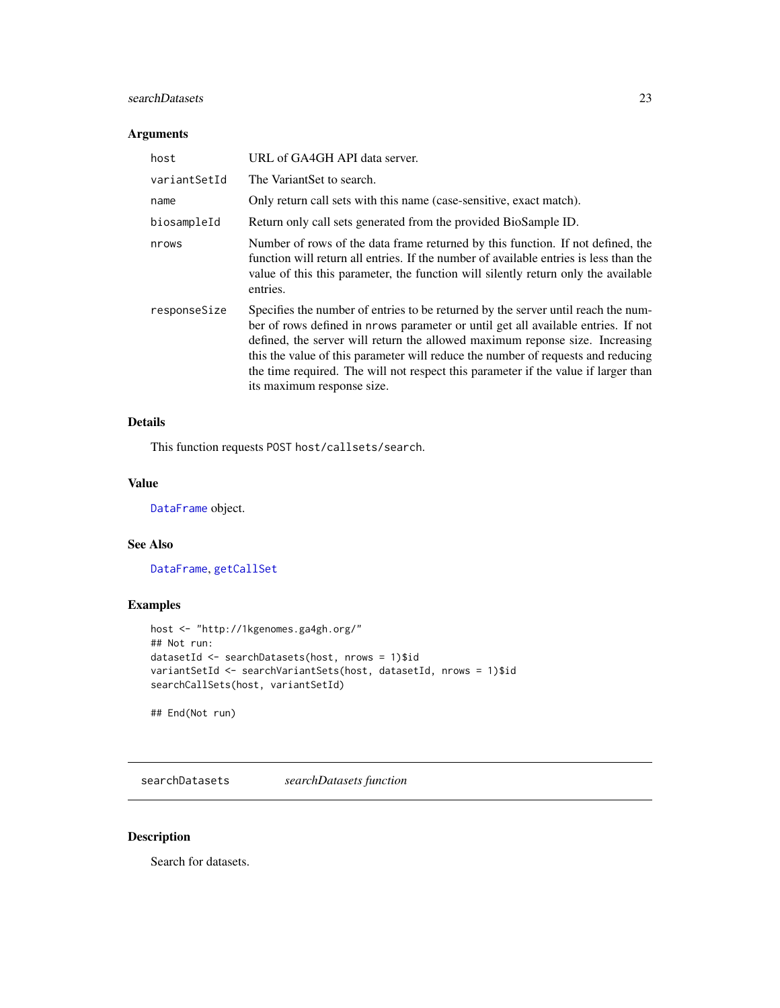#### <span id="page-22-0"></span>searchDatasets 23

# Arguments

| host         | URL of GA4GH API data server.                                                                                                                                                                                                                                                                                                                                                                                                                                  |
|--------------|----------------------------------------------------------------------------------------------------------------------------------------------------------------------------------------------------------------------------------------------------------------------------------------------------------------------------------------------------------------------------------------------------------------------------------------------------------------|
| variantSetId | The VariantSet to search.                                                                                                                                                                                                                                                                                                                                                                                                                                      |
| name         | Only return call sets with this name (case-sensitive, exact match).                                                                                                                                                                                                                                                                                                                                                                                            |
| biosampleId  | Return only call sets generated from the provided BioSample ID.                                                                                                                                                                                                                                                                                                                                                                                                |
| nrows        | Number of rows of the data frame returned by this function. If not defined, the<br>function will return all entries. If the number of available entries is less than the<br>value of this this parameter, the function will silently return only the available<br>entries.                                                                                                                                                                                     |
| responseSize | Specifies the number of entries to be returned by the server until reach the num-<br>ber of rows defined in prows parameter or until get all available entries. If not<br>defined, the server will return the allowed maximum reponse size. Increasing<br>this the value of this parameter will reduce the number of requests and reducing<br>the time required. The will not respect this parameter if the value if larger than<br>its maximum response size. |

# Details

This function requests POST host/callsets/search.

#### Value

[DataFrame](#page-0-0) object.

#### See Also

[DataFrame](#page-0-0), [getCallSet](#page-3-1)

# Examples

```
host <- "http://1kgenomes.ga4gh.org/"
## Not run:
datasetId <- searchDatasets(host, nrows = 1)$id
variantSetId <- searchVariantSets(host, datasetId, nrows = 1)$id
searchCallSets(host, variantSetId)
```
## End(Not run)

<span id="page-22-1"></span>searchDatasets *searchDatasets function*

# Description

Search for datasets.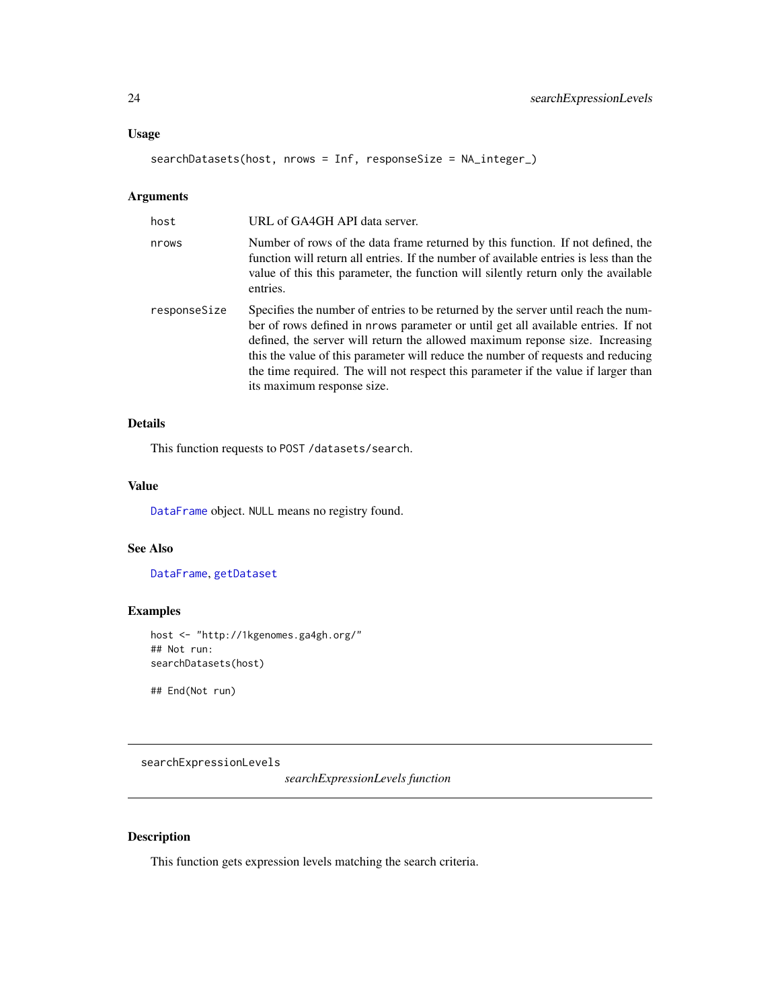#### <span id="page-23-0"></span>Usage

searchDatasets(host, nrows = Inf, responseSize = NA\_integer\_)

# Arguments

| host         | URL of GA4GH API data server.                                                                                                                                                                                                                                                                                                                                                                                                                                  |
|--------------|----------------------------------------------------------------------------------------------------------------------------------------------------------------------------------------------------------------------------------------------------------------------------------------------------------------------------------------------------------------------------------------------------------------------------------------------------------------|
| nrows        | Number of rows of the data frame returned by this function. If not defined, the<br>function will return all entries. If the number of available entries is less than the<br>value of this this parameter, the function will silently return only the available<br>entries.                                                                                                                                                                                     |
| responseSize | Specifies the number of entries to be returned by the server until reach the num-<br>ber of rows defined in nrows parameter or until get all available entries. If not<br>defined, the server will return the allowed maximum reponse size. Increasing<br>this the value of this parameter will reduce the number of requests and reducing<br>the time required. The will not respect this parameter if the value if larger than<br>its maximum response size. |

# Details

This function requests to POST /datasets/search.

#### Value

[DataFrame](#page-0-0) object. NULL means no registry found.

#### See Also

[DataFrame](#page-0-0), [getDataset](#page-4-1)

# Examples

```
host <- "http://1kgenomes.ga4gh.org/"
## Not run:
searchDatasets(host)
```
## End(Not run)

<span id="page-23-1"></span>searchExpressionLevels

*searchExpressionLevels function*

# Description

This function gets expression levels matching the search criteria.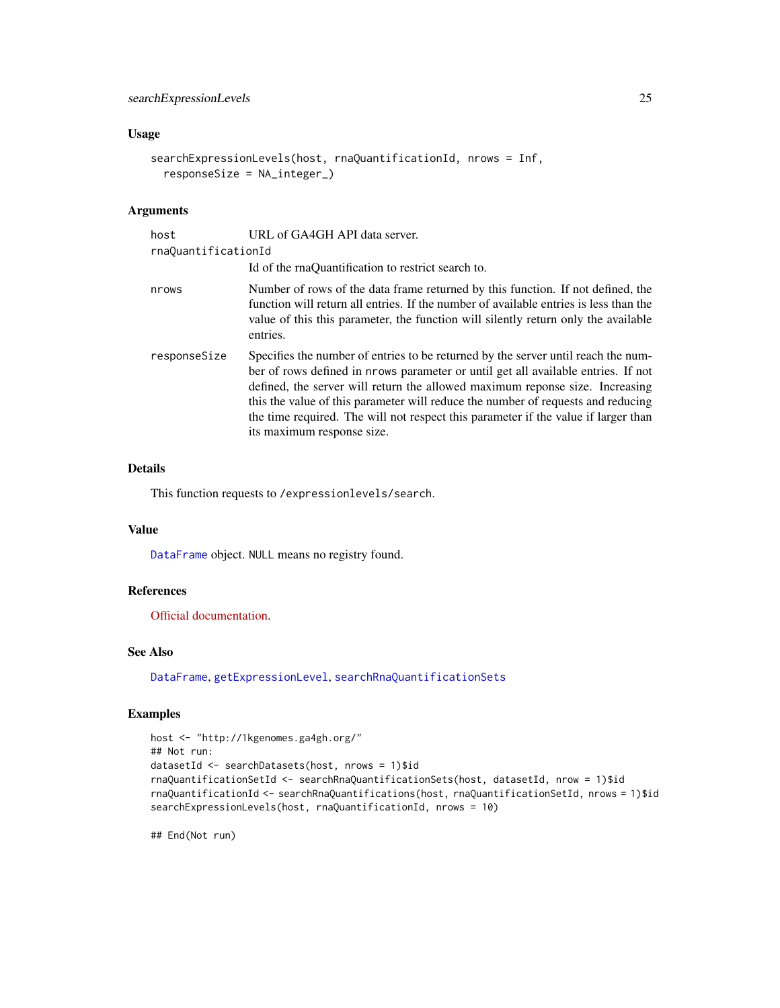# <span id="page-24-0"></span>Usage

```
searchExpressionLevels(host, rnaQuantificationId, nrows = Inf,
  responseSize = NA_integer_)
```
# Arguments

| host                | URL of GA4GH API data server.                                                                                                                                                                                                                                                                                                                                                                                                                                  |
|---------------------|----------------------------------------------------------------------------------------------------------------------------------------------------------------------------------------------------------------------------------------------------------------------------------------------------------------------------------------------------------------------------------------------------------------------------------------------------------------|
| rnaQuantificationId |                                                                                                                                                                                                                                                                                                                                                                                                                                                                |
|                     | Id of the rnaQuantification to restrict search to.                                                                                                                                                                                                                                                                                                                                                                                                             |
| nrows               | Number of rows of the data frame returned by this function. If not defined, the<br>function will return all entries. If the number of available entries is less than the<br>value of this this parameter, the function will silently return only the available<br>entries.                                                                                                                                                                                     |
| responseSize        | Specifies the number of entries to be returned by the server until reach the num-<br>ber of rows defined in nrows parameter or until get all available entries. If not<br>defined, the server will return the allowed maximum reponse size. Increasing<br>this the value of this parameter will reduce the number of requests and reducing<br>the time required. The will not respect this parameter if the value if larger than<br>its maximum response size. |

# Details

This function requests to /expressionlevels/search.

### Value

[DataFrame](#page-0-0) object. NULL means no registry found.

# References

[Official documentation.](http://ga4gh-schemas.readthedocs.io/en/latest/schemas/rna_quantification_service.proto.html#SearchExpressionLevels)

#### See Also

[DataFrame](#page-0-0), [getExpressionLevel](#page-5-1), [searchRnaQuantificationSets](#page-37-1)

# Examples

```
host <- "http://1kgenomes.ga4gh.org/"
## Not run:
datasetId <- searchDatasets(host, nrows = 1)$id
rnaQuantificationSetId <- searchRnaQuantificationSets(host, datasetId, nrow = 1)$id
rnaQuantificationId <- searchRnaQuantifications(host, rnaQuantificationSetId, nrows = 1)$id
searchExpressionLevels(host, rnaQuantificationId, nrows = 10)
```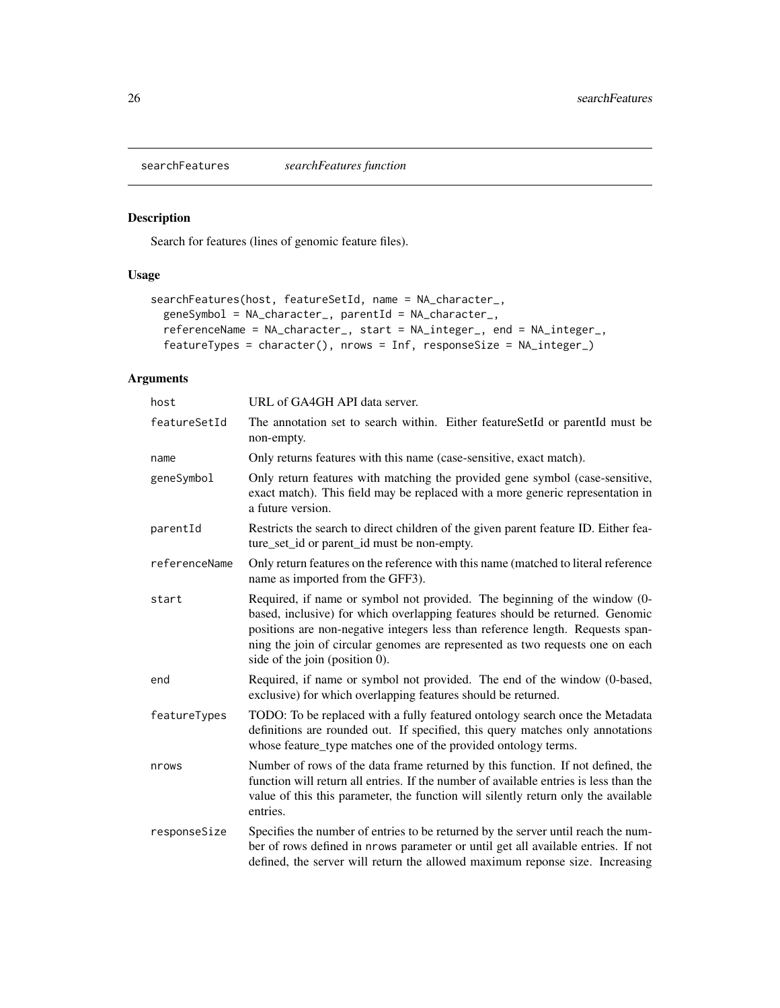<span id="page-25-1"></span><span id="page-25-0"></span>

# Description

Search for features (lines of genomic feature files).

# Usage

```
searchFeatures(host, featureSetId, name = NA_character_,
 geneSymbol = NA_character_, parentId = NA_character_,
 referenceName = NA_character_, start = NA_integer_, end = NA_integer_,
 featureTypes = character(), nrows = Inf, responseSize = NA_integer_)
```
# Arguments

| host          | URL of GA4GH API data server.                                                                                                                                                                                                                                                                                                                                  |
|---------------|----------------------------------------------------------------------------------------------------------------------------------------------------------------------------------------------------------------------------------------------------------------------------------------------------------------------------------------------------------------|
| featureSetId  | The annotation set to search within. Either featureSetId or parentId must be<br>non-empty.                                                                                                                                                                                                                                                                     |
| name          | Only returns features with this name (case-sensitive, exact match).                                                                                                                                                                                                                                                                                            |
| geneSymbol    | Only return features with matching the provided gene symbol (case-sensitive,<br>exact match). This field may be replaced with a more generic representation in<br>a future version.                                                                                                                                                                            |
| parentId      | Restricts the search to direct children of the given parent feature ID. Either fea-<br>ture_set_id or parent_id must be non-empty.                                                                                                                                                                                                                             |
| referenceName | Only return features on the reference with this name (matched to literal reference<br>name as imported from the GFF3).                                                                                                                                                                                                                                         |
| start         | Required, if name or symbol not provided. The beginning of the window (0-<br>based, inclusive) for which overlapping features should be returned. Genomic<br>positions are non-negative integers less than reference length. Requests span-<br>ning the join of circular genomes are represented as two requests one on each<br>side of the join (position 0). |
| end           | Required, if name or symbol not provided. The end of the window (0-based,<br>exclusive) for which overlapping features should be returned.                                                                                                                                                                                                                     |
| featureTypes  | TODO: To be replaced with a fully featured ontology search once the Metadata<br>definitions are rounded out. If specified, this query matches only annotations<br>whose feature_type matches one of the provided ontology terms.                                                                                                                               |
| nrows         | Number of rows of the data frame returned by this function. If not defined, the<br>function will return all entries. If the number of available entries is less than the<br>value of this this parameter, the function will silently return only the available<br>entries.                                                                                     |
| responseSize  | Specifies the number of entries to be returned by the server until reach the num-<br>ber of rows defined in nrows parameter or until get all available entries. If not<br>defined, the server will return the allowed maximum reponse size. Increasing                                                                                                         |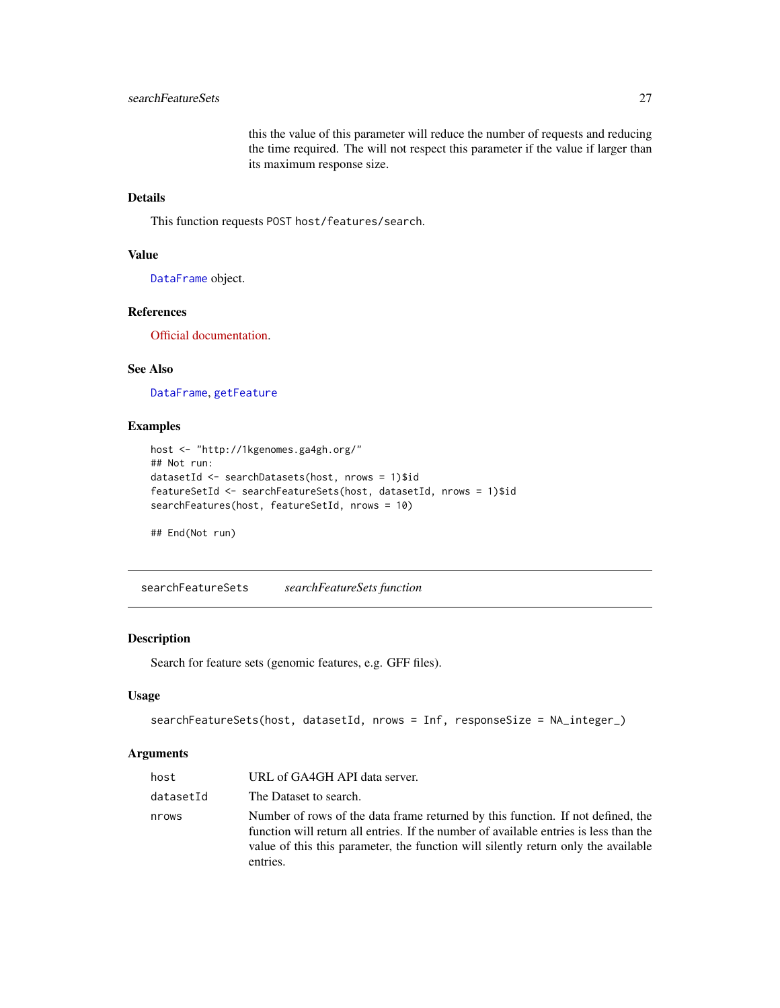this the value of this parameter will reduce the number of requests and reducing the time required. The will not respect this parameter if the value if larger than its maximum response size.

# <span id="page-26-0"></span>Details

This function requests POST host/features/search.

#### Value

[DataFrame](#page-0-0) object.

#### References

[Official documentation.](https://ga4gh-schemas.readthedocs.io/en/latest/schemas/sequence_annotation_service.proto.html#SearchFeatures)

#### See Also

[DataFrame](#page-0-0), [getFeature](#page-6-1)

# Examples

```
host <- "http://1kgenomes.ga4gh.org/"
## Not run:
datasetId <- searchDatasets(host, nrows = 1)$id
featureSetId <- searchFeatureSets(host, datasetId, nrows = 1)$id
searchFeatures(host, featureSetId, nrows = 10)
```
## End(Not run)

<span id="page-26-1"></span>searchFeatureSets *searchFeatureSets function*

# Description

Search for feature sets (genomic features, e.g. GFF files).

#### Usage

```
searchFeatureSets(host, datasetId, nrows = Inf, responseSize = NA_integer_)
```
#### **Arguments**

| host      | URL of GA4GH API data server.                                                                                                                                                                                                                                              |
|-----------|----------------------------------------------------------------------------------------------------------------------------------------------------------------------------------------------------------------------------------------------------------------------------|
| datasetId | The Dataset to search.                                                                                                                                                                                                                                                     |
| nrows     | Number of rows of the data frame returned by this function. If not defined, the<br>function will return all entries. If the number of available entries is less than the<br>value of this this parameter, the function will silently return only the available<br>entries. |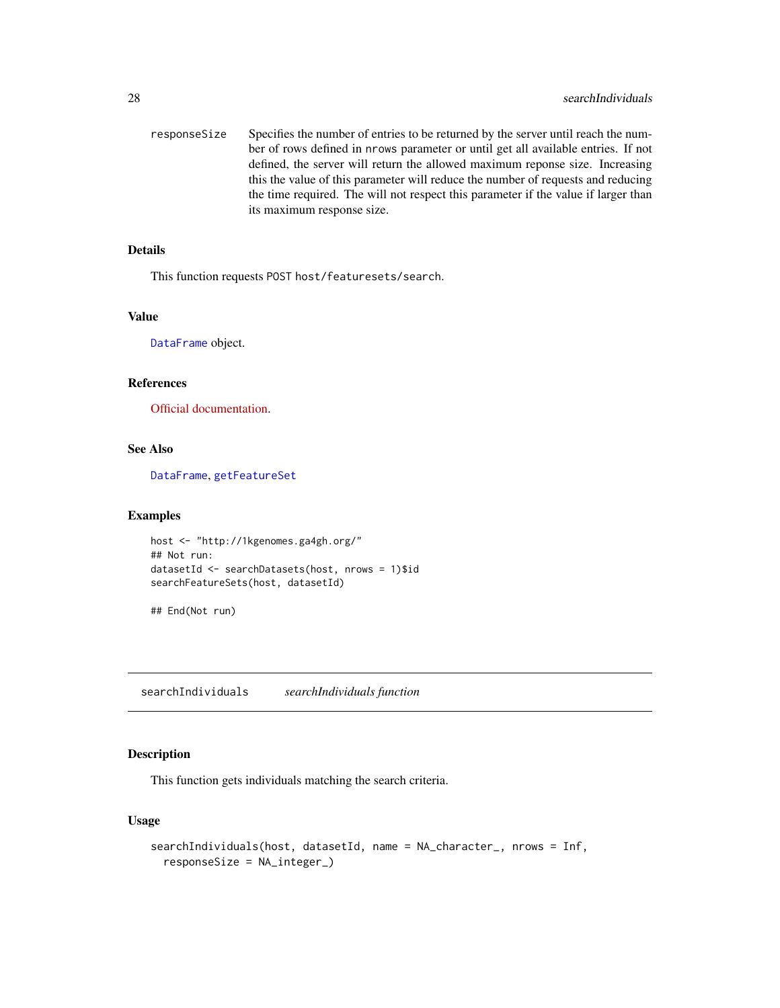<span id="page-27-0"></span>responseSize Specifies the number of entries to be returned by the server until reach the number of rows defined in nrows parameter or until get all available entries. If not defined, the server will return the allowed maximum reponse size. Increasing this the value of this parameter will reduce the number of requests and reducing the time required. The will not respect this parameter if the value if larger than its maximum response size.

#### Details

This function requests POST host/featuresets/search.

#### Value

[DataFrame](#page-0-0) object.

#### References

[Official documentation.](https://ga4gh-schemas.readthedocs.io/en/latest/schemas/sequence_annotation_service.proto.html#SearchFeatureSets)

#### See Also

[DataFrame](#page-0-0), [getFeatureSet](#page-7-1)

#### Examples

```
host <- "http://1kgenomes.ga4gh.org/"
## Not run:
datasetId <- searchDatasets(host, nrows = 1)$id
searchFeatureSets(host, datasetId)
```
## End(Not run)

<span id="page-27-1"></span>searchIndividuals *searchIndividuals function*

#### Description

This function gets individuals matching the search criteria.

#### Usage

```
searchIndividuals(host, datasetId, name = NA_character_, nrows = Inf,
  responseSize = NA_integer_)
```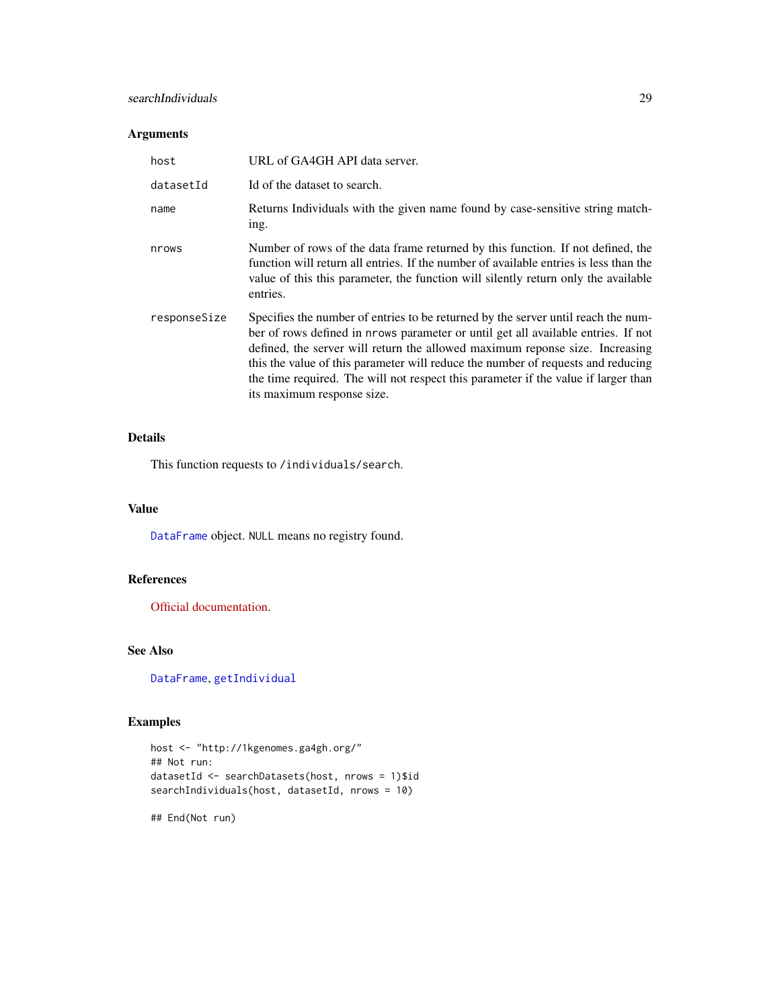#### <span id="page-28-0"></span>searchIndividuals 29

# Arguments

| host         | URL of GA4GH API data server.                                                                                                                                                                                                                                                                                                                                                                                                                                  |
|--------------|----------------------------------------------------------------------------------------------------------------------------------------------------------------------------------------------------------------------------------------------------------------------------------------------------------------------------------------------------------------------------------------------------------------------------------------------------------------|
| datasetId    | Id of the dataset to search.                                                                                                                                                                                                                                                                                                                                                                                                                                   |
| name         | Returns Individuals with the given name found by case-sensitive string match-<br>ing.                                                                                                                                                                                                                                                                                                                                                                          |
| nrows        | Number of rows of the data frame returned by this function. If not defined, the<br>function will return all entries. If the number of available entries is less than the<br>value of this this parameter, the function will silently return only the available<br>entries.                                                                                                                                                                                     |
| responseSize | Specifies the number of entries to be returned by the server until reach the num-<br>ber of rows defined in nrows parameter or until get all available entries. If not<br>defined, the server will return the allowed maximum reponse size. Increasing<br>this the value of this parameter will reduce the number of requests and reducing<br>the time required. The will not respect this parameter if the value if larger than<br>its maximum response size. |

# Details

This function requests to /individuals/search.

#### Value

[DataFrame](#page-0-0) object. NULL means no registry found.

#### References

[Official documentation.](http://ga4gh-schemas.readthedocs.io/en/latest/schemas/bio_metadata_service.proto.html#SearchIndividuals)

# See Also

[DataFrame](#page-0-0), [getIndividual](#page-8-1)

# Examples

```
host <- "http://1kgenomes.ga4gh.org/"
## Not run:
datasetId <- searchDatasets(host, nrows = 1)$id
searchIndividuals(host, datasetId, nrows = 10)
```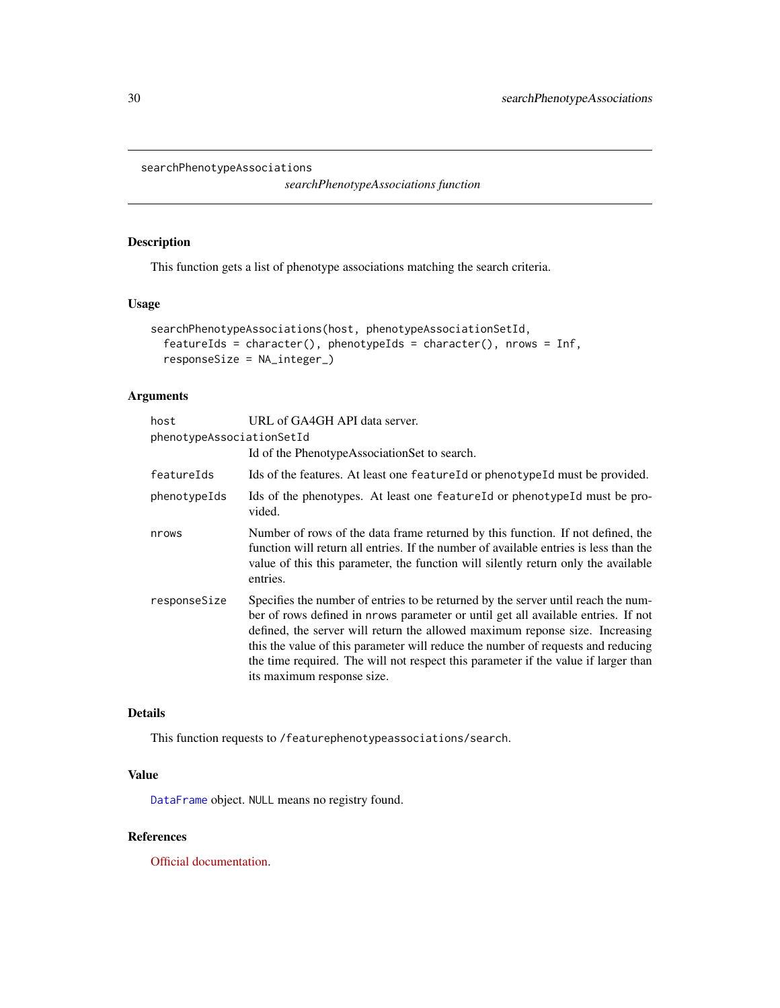<span id="page-29-0"></span>searchPhenotypeAssociations

*searchPhenotypeAssociations function*

# Description

This function gets a list of phenotype associations matching the search criteria.

#### Usage

```
searchPhenotypeAssociations(host, phenotypeAssociationSetId,
  featureIds = character(), phenotypeIds = character(), nrows = Inf,
  responseSize = NA_integer_)
```
#### Arguments

| host                      | URL of GA4GH API data server.                                                                                                                                                                                                                                                                                                                                                                                                                                  |
|---------------------------|----------------------------------------------------------------------------------------------------------------------------------------------------------------------------------------------------------------------------------------------------------------------------------------------------------------------------------------------------------------------------------------------------------------------------------------------------------------|
| phenotypeAssociationSetId |                                                                                                                                                                                                                                                                                                                                                                                                                                                                |
|                           | Id of the Phenotype Association Set to search.                                                                                                                                                                                                                                                                                                                                                                                                                 |
| featureIds                | Ids of the features. At least one feature Id or phenotype Id must be provided.                                                                                                                                                                                                                                                                                                                                                                                 |
| phenotypeIds              | Ids of the phenotypes. At least one feature Id or phenotype Id must be pro-<br>vided.                                                                                                                                                                                                                                                                                                                                                                          |
| nrows                     | Number of rows of the data frame returned by this function. If not defined, the<br>function will return all entries. If the number of available entries is less than the<br>value of this this parameter, the function will silently return only the available<br>entries.                                                                                                                                                                                     |
| responseSize              | Specifies the number of entries to be returned by the server until reach the num-<br>ber of rows defined in prows parameter or until get all available entries. If not<br>defined, the server will return the allowed maximum reponse size. Increasing<br>this the value of this parameter will reduce the number of requests and reducing<br>the time required. The will not respect this parameter if the value if larger than<br>its maximum response size. |

#### Details

This function requests to /featurephenotypeassociations/search.

#### Value

[DataFrame](#page-0-0) object. NULL means no registry found.

# References

[Official documentation.](https://ga4gh-schemas.readthedocs.io/en/latest/schemas/genotype_phenotype_service.proto.html#SearchPhenotypeAssociations)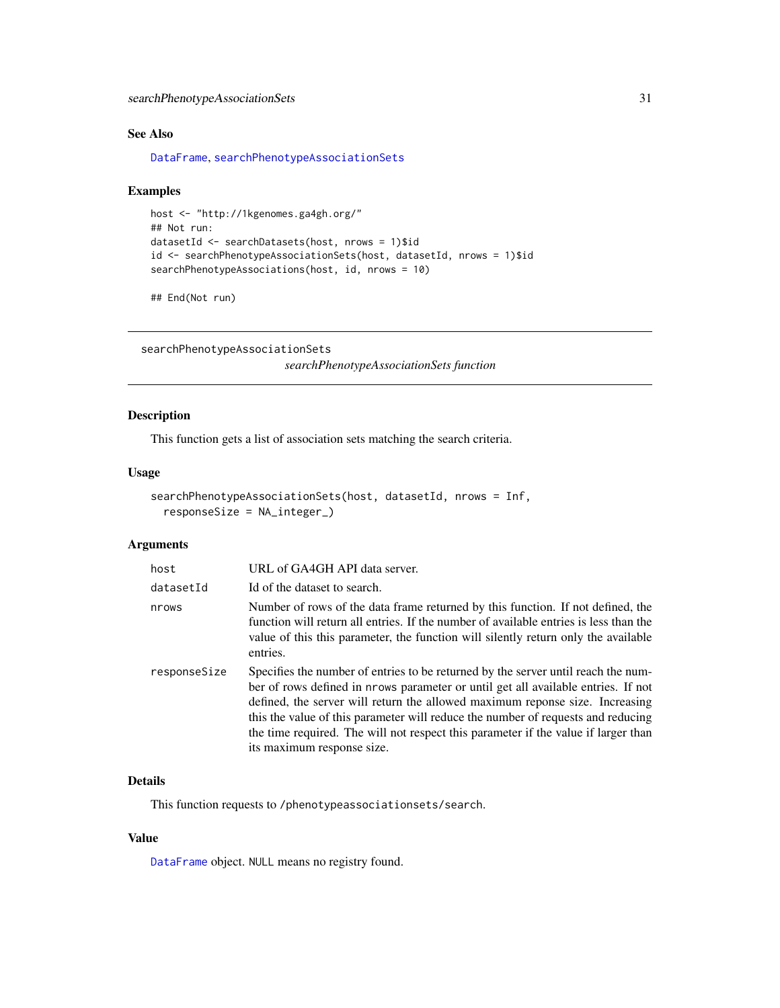# <span id="page-30-0"></span>See Also

[DataFrame](#page-0-0), [searchPhenotypeAssociationSets](#page-30-1)

#### Examples

```
host <- "http://1kgenomes.ga4gh.org/"
## Not run:
datasetId <- searchDatasets(host, nrows = 1)$id
id <- searchPhenotypeAssociationSets(host, datasetId, nrows = 1)$id
searchPhenotypeAssociations(host, id, nrows = 10)
```
## End(Not run)

```
searchPhenotypeAssociationSets
```
*searchPhenotypeAssociationSets function*

# Description

This function gets a list of association sets matching the search criteria.

#### Usage

```
searchPhenotypeAssociationSets(host, datasetId, nrows = Inf,
  responseSize = NA_integer_)
```
# Arguments

| host         | URL of GA4GH API data server.                                                                                                                                                                                                                                                                                                                                                                                                                                  |
|--------------|----------------------------------------------------------------------------------------------------------------------------------------------------------------------------------------------------------------------------------------------------------------------------------------------------------------------------------------------------------------------------------------------------------------------------------------------------------------|
| datasetId    | Id of the dataset to search.                                                                                                                                                                                                                                                                                                                                                                                                                                   |
| nrows        | Number of rows of the data frame returned by this function. If not defined, the<br>function will return all entries. If the number of available entries is less than the<br>value of this this parameter, the function will silently return only the available<br>entries.                                                                                                                                                                                     |
| responseSize | Specifies the number of entries to be returned by the server until reach the num-<br>ber of rows defined in nrows parameter or until get all available entries. If not<br>defined, the server will return the allowed maximum reponse size. Increasing<br>this the value of this parameter will reduce the number of requests and reducing<br>the time required. The will not respect this parameter if the value if larger than<br>its maximum response size. |

#### Details

This function requests to /phenotypeassociationsets/search.

#### Value

[DataFrame](#page-0-0) object. NULL means no registry found.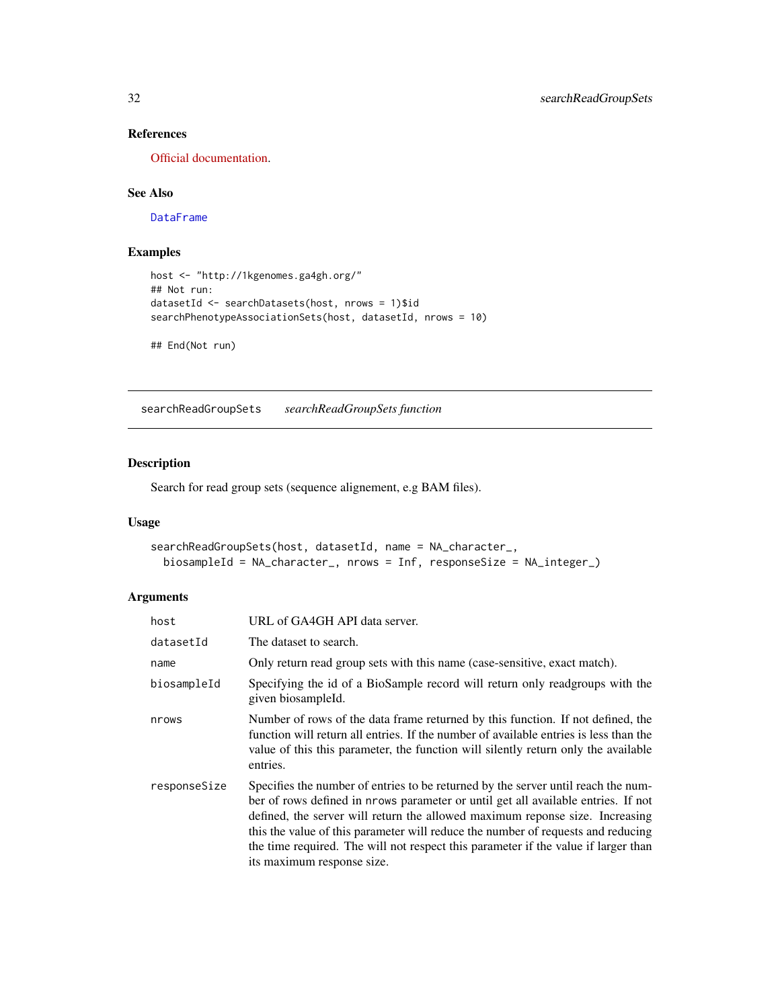# <span id="page-31-0"></span>References

[Official documentation.](http://ga4gh-schemas.readthedocs.io/en/latest/schemas/genotype_phenotype_service.proto.html#SearchPhenotypeAssociationSets)

# See Also

[DataFrame](#page-0-0)

# Examples

```
host <- "http://1kgenomes.ga4gh.org/"
## Not run:
datasetId <- searchDatasets(host, nrows = 1)$id
searchPhenotypeAssociationSets(host, datasetId, nrows = 10)
```

```
## End(Not run)
```
<span id="page-31-1"></span>searchReadGroupSets *searchReadGroupSets function*

# Description

Search for read group sets (sequence alignement, e.g BAM files).

# Usage

```
searchReadGroupSets(host, datasetId, name = NA_character_,
 biosampleId = NA_character_, nrows = Inf, responseSize = NA_integer_)
```
# Arguments

| host         | URL of GA4GH API data server.                                                                                                                                                                                                                                                                                                                                                                                                                                  |
|--------------|----------------------------------------------------------------------------------------------------------------------------------------------------------------------------------------------------------------------------------------------------------------------------------------------------------------------------------------------------------------------------------------------------------------------------------------------------------------|
| datasetId    | The dataset to search.                                                                                                                                                                                                                                                                                                                                                                                                                                         |
| name         | Only return read group sets with this name (case-sensitive, exact match).                                                                                                                                                                                                                                                                                                                                                                                      |
| biosampleId  | Specifying the id of a BioSample record will return only readgroups with the<br>given biosampleId.                                                                                                                                                                                                                                                                                                                                                             |
| nrows        | Number of rows of the data frame returned by this function. If not defined, the<br>function will return all entries. If the number of available entries is less than the<br>value of this this parameter, the function will silently return only the available<br>entries.                                                                                                                                                                                     |
| responseSize | Specifies the number of entries to be returned by the server until reach the num-<br>ber of rows defined in nrows parameter or until get all available entries. If not<br>defined, the server will return the allowed maximum reponse size. Increasing<br>this the value of this parameter will reduce the number of requests and reducing<br>the time required. The will not respect this parameter if the value if larger than<br>its maximum response size. |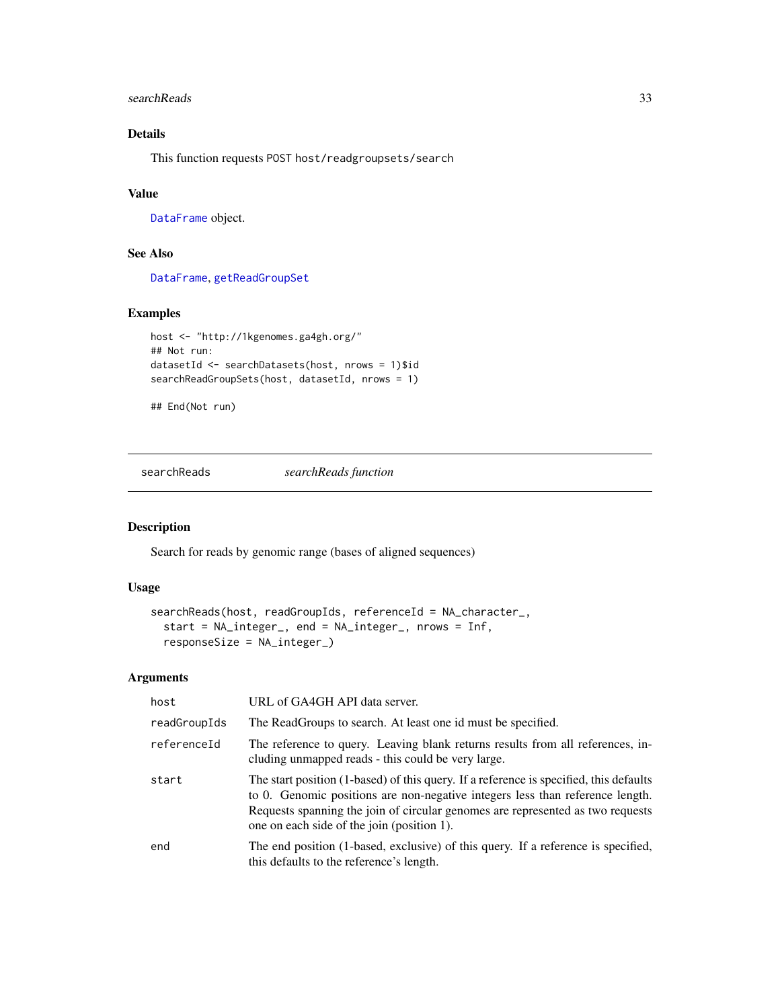#### <span id="page-32-0"></span>searchReads 33

# Details

This function requests POST host/readgroupsets/search

# Value

[DataFrame](#page-0-0) object.

# See Also

[DataFrame](#page-0-0), [getReadGroupSet](#page-9-1)

# Examples

```
host <- "http://1kgenomes.ga4gh.org/"
## Not run:
datasetId <- searchDatasets(host, nrows = 1)$id
searchReadGroupSets(host, datasetId, nrows = 1)
```
## End(Not run)

searchReads *searchReads function*

#### Description

Search for reads by genomic range (bases of aligned sequences)

#### Usage

```
searchReads(host, readGroupIds, referenceId = NA_character_,
  start = NA_integer_, end = NA_integer_, nrows = Inf,
  responseSize = NA_integer_)
```
#### Arguments

| host         | URL of GA4GH API data server.                                                                                                                                                                                                                                                                           |
|--------------|---------------------------------------------------------------------------------------------------------------------------------------------------------------------------------------------------------------------------------------------------------------------------------------------------------|
| readGroupIds | The ReadGroups to search. At least one id must be specified.                                                                                                                                                                                                                                            |
| referenceId  | The reference to query. Leaving blank returns results from all references, in-<br>cluding unmapped reads - this could be very large.                                                                                                                                                                    |
| start        | The start position (1-based) of this query. If a reference is specified, this defaults<br>to 0. Genomic positions are non-negative integers less than reference length.<br>Requests spanning the join of circular genomes are represented as two requests<br>one on each side of the join (position 1). |
| end          | The end position (1-based, exclusive) of this query. If a reference is specified,<br>this defaults to the reference's length.                                                                                                                                                                           |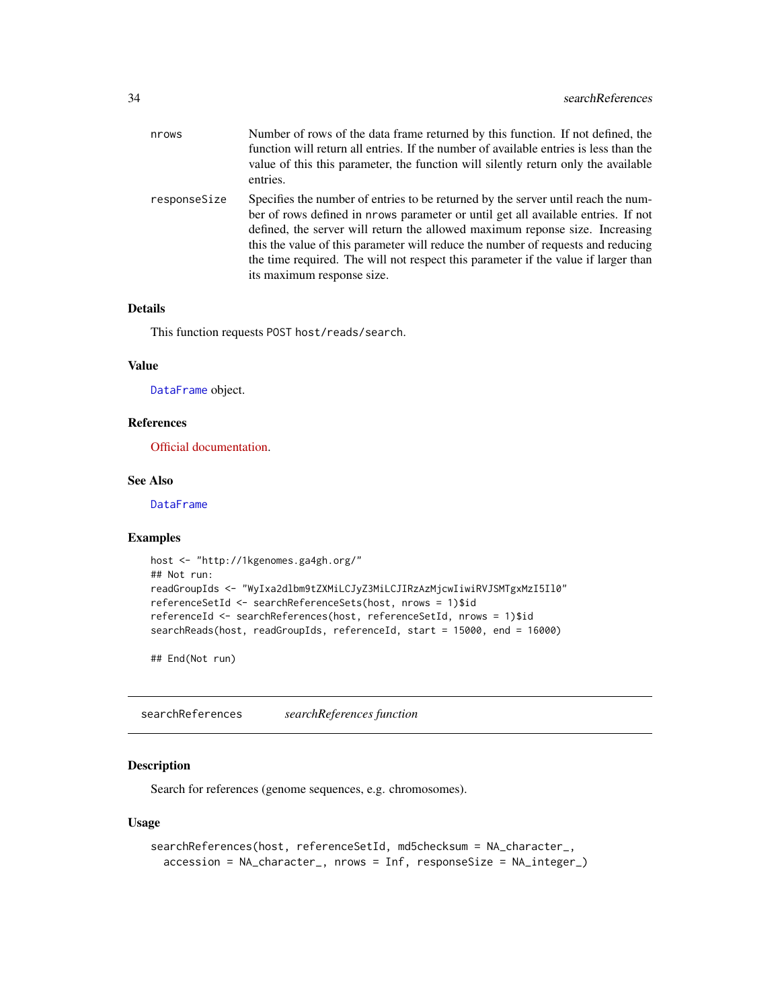<span id="page-33-0"></span>

| nrows        | Number of rows of the data frame returned by this function. If not defined, the<br>function will return all entries. If the number of available entries is less than the<br>value of this this parameter, the function will silently return only the available<br>entries.                                                                                                                                                                                     |
|--------------|----------------------------------------------------------------------------------------------------------------------------------------------------------------------------------------------------------------------------------------------------------------------------------------------------------------------------------------------------------------------------------------------------------------------------------------------------------------|
| responseSize | Specifies the number of entries to be returned by the server until reach the num-<br>ber of rows defined in prows parameter or until get all available entries. If not<br>defined, the server will return the allowed maximum reponse size. Increasing<br>this the value of this parameter will reduce the number of requests and reducing<br>the time required. The will not respect this parameter if the value if larger than<br>its maximum response size. |

### Details

This function requests POST host/reads/search.

#### Value

[DataFrame](#page-0-0) object.

#### References

[Official documentation.](https://ga4gh-schemas.readthedocs.io/en/latest/schemas/read_service.proto.html#SearchReads)

#### See Also

**[DataFrame](#page-0-0)** 

# Examples

```
host <- "http://1kgenomes.ga4gh.org/"
## Not run:
readGroupIds <- "WyIxa2dlbm9tZXMiLCJyZ3MiLCJIRzAzMjcwIiwiRVJSMTgxMzI5Il0"
referenceSetId <- searchReferenceSets(host, nrows = 1)$id
referenceId <- searchReferences(host, referenceSetId, nrows = 1)$id
searchReads(host, readGroupIds, referenceId, start = 15000, end = 16000)
```
## End(Not run)

<span id="page-33-1"></span>searchReferences *searchReferences function*

#### Description

Search for references (genome sequences, e.g. chromosomes).

#### Usage

```
searchReferences(host, referenceSetId, md5checksum = NA_character_,
 accession = NA_character_, nrows = Inf, responseSize = NA_integer_)
```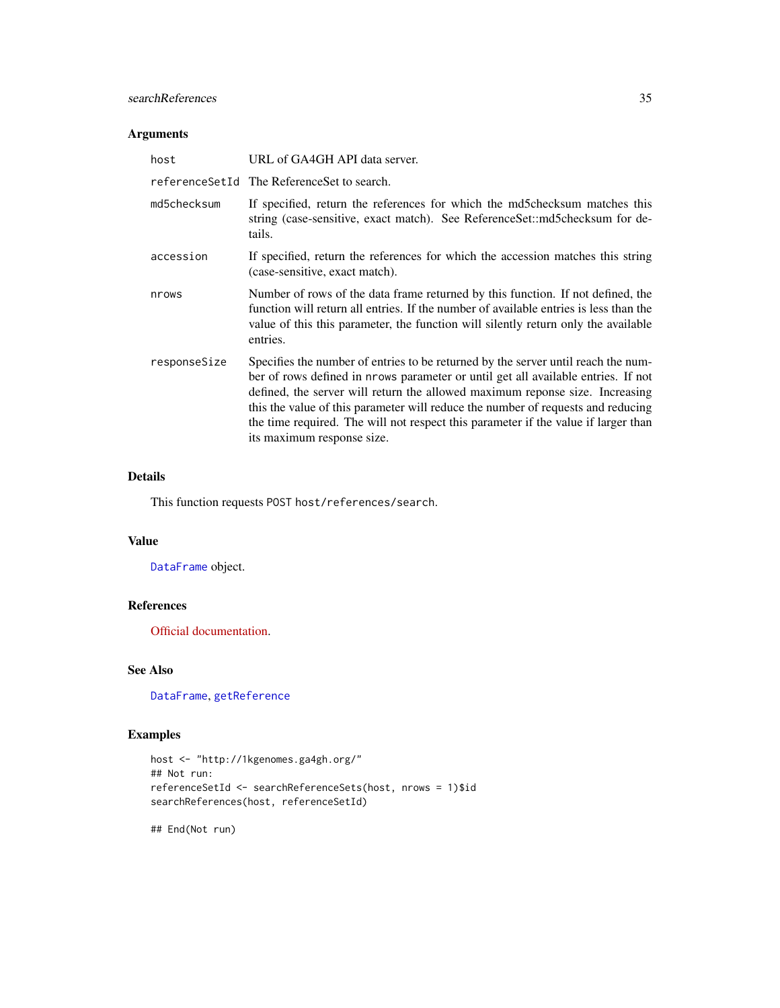# <span id="page-34-0"></span>searchReferences 35

# Arguments

| host         | URL of GA4GH API data server.                                                                                                                                                                                                                                                                                                                                                                                                                                  |
|--------------|----------------------------------------------------------------------------------------------------------------------------------------------------------------------------------------------------------------------------------------------------------------------------------------------------------------------------------------------------------------------------------------------------------------------------------------------------------------|
|              | referenceSetId The ReferenceSet to search.                                                                                                                                                                                                                                                                                                                                                                                                                     |
| md5checksum  | If specified, return the references for which the md5checksum matches this<br>string (case-sensitive, exact match). See ReferenceSet::md5checksum for de-<br>tails.                                                                                                                                                                                                                                                                                            |
| accession    | If specified, return the references for which the accession matches this string<br>(case-sensitive, exact match).                                                                                                                                                                                                                                                                                                                                              |
| nrows        | Number of rows of the data frame returned by this function. If not defined, the<br>function will return all entries. If the number of available entries is less than the<br>value of this this parameter, the function will silently return only the available<br>entries.                                                                                                                                                                                     |
| responseSize | Specifies the number of entries to be returned by the server until reach the num-<br>ber of rows defined in nrows parameter or until get all available entries. If not<br>defined, the server will return the allowed maximum reponse size. Increasing<br>this the value of this parameter will reduce the number of requests and reducing<br>the time required. The will not respect this parameter if the value if larger than<br>its maximum response size. |

# Details

This function requests POST host/references/search.

#### Value

[DataFrame](#page-0-0) object.

# References

[Official documentation.](https://ga4gh-schemas.readthedocs.io/en/latest/schemas/reference_service.proto.html#SearchReferences)

# See Also

[DataFrame](#page-0-0), [getReference](#page-10-1)

# Examples

```
host <- "http://1kgenomes.ga4gh.org/"
## Not run:
referenceSetId <- searchReferenceSets(host, nrows = 1)$id
searchReferences(host, referenceSetId)
```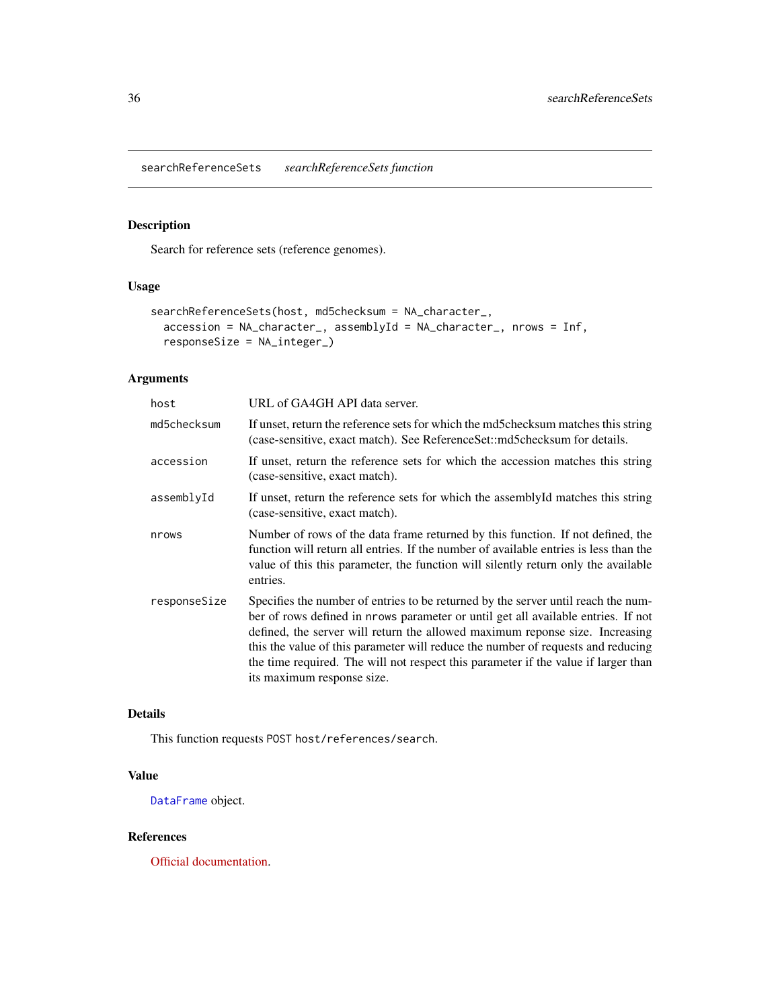<span id="page-35-1"></span><span id="page-35-0"></span>searchReferenceSets *searchReferenceSets function*

# Description

Search for reference sets (reference genomes).

# Usage

```
searchReferenceSets(host, md5checksum = NA_character_,
 accession = NA_character_, assemblyId = NA_character_, nrows = Inf,
  responseSize = NA_integer_)
```
# Arguments

| host         | URL of GA4GH API data server.                                                                                                                                                                                                                                                                                                                                                                                                                                  |
|--------------|----------------------------------------------------------------------------------------------------------------------------------------------------------------------------------------------------------------------------------------------------------------------------------------------------------------------------------------------------------------------------------------------------------------------------------------------------------------|
| md5checksum  | If unset, return the reference sets for which the md5checksum matches this string<br>(case-sensitive, exact match). See ReferenceSet::md5checksum for details.                                                                                                                                                                                                                                                                                                 |
| accession    | If unset, return the reference sets for which the accession matches this string<br>(case-sensitive, exact match).                                                                                                                                                                                                                                                                                                                                              |
| assemblyId   | If unset, return the reference sets for which the assembly Id matches this string<br>(case-sensitive, exact match).                                                                                                                                                                                                                                                                                                                                            |
| nrows        | Number of rows of the data frame returned by this function. If not defined, the<br>function will return all entries. If the number of available entries is less than the<br>value of this this parameter, the function will silently return only the available<br>entries.                                                                                                                                                                                     |
| responseSize | Specifies the number of entries to be returned by the server until reach the num-<br>ber of rows defined in nrows parameter or until get all available entries. If not<br>defined, the server will return the allowed maximum reponse size. Increasing<br>this the value of this parameter will reduce the number of requests and reducing<br>the time required. The will not respect this parameter if the value if larger than<br>its maximum response size. |

# Details

This function requests POST host/references/search.

#### Value

[DataFrame](#page-0-0) object.

# References

[Official documentation.](https://ga4gh-schemas.readthedocs.io/en/latest/schemas/reference_service.proto.html#SearchReferenceSets)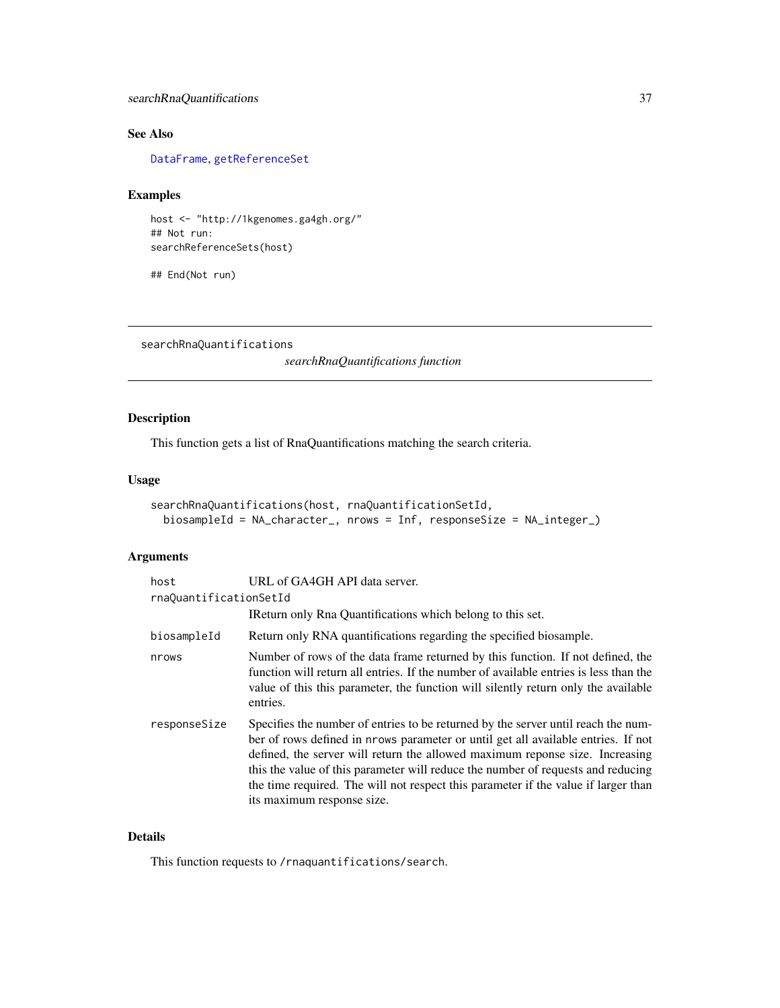# <span id="page-36-0"></span>searchRnaQuantifications 37

# See Also

[DataFrame](#page-0-0), [getReferenceSet](#page-11-1)

# Examples

host <- "http://1kgenomes.ga4gh.org/" ## Not run: searchReferenceSets(host)

## End(Not run)

<span id="page-36-1"></span>searchRnaQuantifications

*searchRnaQuantifications function*

# Description

This function gets a list of RnaQuantifications matching the search criteria.

#### Usage

```
searchRnaQuantifications(host, rnaQuantificationSetId,
 biosampleId = NA_character_, nrows = Inf, responseSize = NA_integer_)
```
#### Arguments

| host                   | URL of GA4GH API data server.                                                                                                                                                                                                                                                                                                                                                                                                                                  |  |
|------------------------|----------------------------------------------------------------------------------------------------------------------------------------------------------------------------------------------------------------------------------------------------------------------------------------------------------------------------------------------------------------------------------------------------------------------------------------------------------------|--|
| rnaOuantificationSetId |                                                                                                                                                                                                                                                                                                                                                                                                                                                                |  |
|                        | IReturn only Rna Quantifications which belong to this set.                                                                                                                                                                                                                                                                                                                                                                                                     |  |
| biosampleId            | Return only RNA quantifications regarding the specified biosample.                                                                                                                                                                                                                                                                                                                                                                                             |  |
| nrows                  | Number of rows of the data frame returned by this function. If not defined, the<br>function will return all entries. If the number of available entries is less than the<br>value of this this parameter, the function will silently return only the available<br>entries.                                                                                                                                                                                     |  |
| responseSize           | Specifies the number of entries to be returned by the server until reach the num-<br>ber of rows defined in prows parameter or until get all available entries. If not<br>defined, the server will return the allowed maximum reponse size. Increasing<br>this the value of this parameter will reduce the number of requests and reducing<br>the time required. The will not respect this parameter if the value if larger than<br>its maximum response size. |  |

# Details

This function requests to /rnaquantifications/search.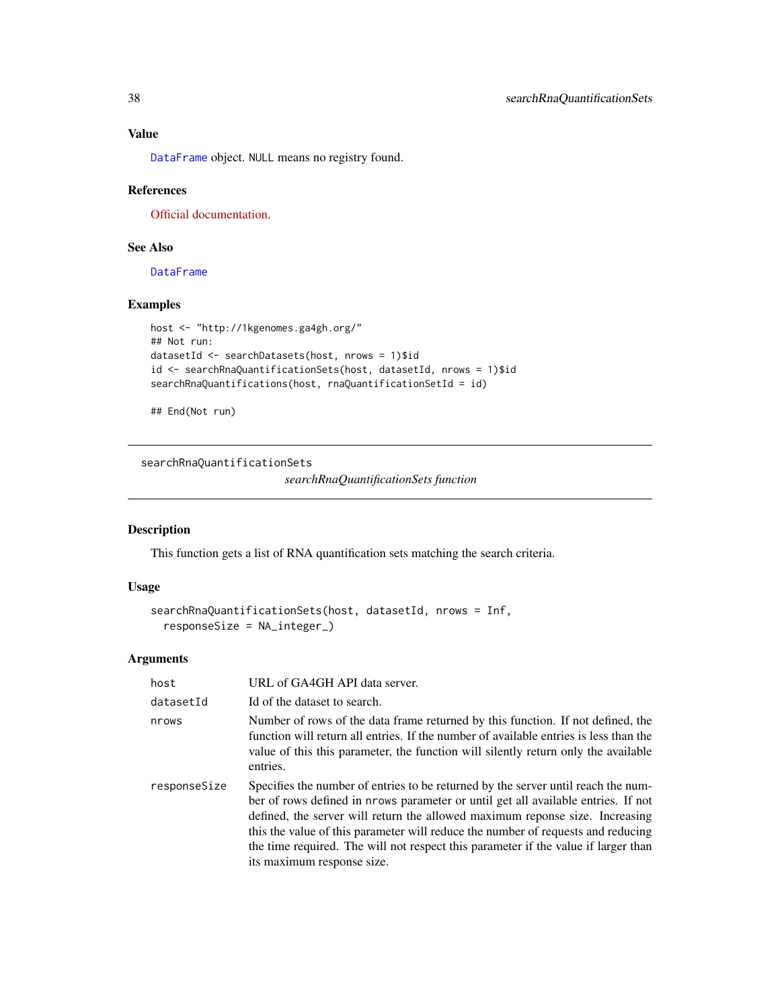[DataFrame](#page-0-0) object. NULL means no registry found.

# References

[Official documentation.](http://ga4gh-schemas.readthedocs.io/en/latest/schemas/rna_quantification_service.proto.html#SearchRnaQuantifications)

# See Also

[DataFrame](#page-0-0)

#### Examples

```
host <- "http://1kgenomes.ga4gh.org/"
## Not run:
datasetId <- searchDatasets(host, nrows = 1)$id
id <- searchRnaQuantificationSets(host, datasetId, nrows = 1)$id
searchRnaQuantifications(host, rnaQuantificationSetId = id)
```
## End(Not run)

<span id="page-37-1"></span>searchRnaQuantificationSets

*searchRnaQuantificationSets function*

### Description

This function gets a list of RNA quantification sets matching the search criteria.

#### Usage

```
searchRnaQuantificationSets(host, datasetId, nrows = Inf,
 responseSize = NA_integer_)
```
#### Arguments

| host         | URL of GA4GH API data server.                                                                                                                                                                                                                                                                                                                                                                                                                                  |
|--------------|----------------------------------------------------------------------------------------------------------------------------------------------------------------------------------------------------------------------------------------------------------------------------------------------------------------------------------------------------------------------------------------------------------------------------------------------------------------|
| datasetId    | Id of the dataset to search.                                                                                                                                                                                                                                                                                                                                                                                                                                   |
| nrows        | Number of rows of the data frame returned by this function. If not defined, the<br>function will return all entries. If the number of available entries is less than the<br>value of this this parameter, the function will silently return only the available<br>entries.                                                                                                                                                                                     |
| responseSize | Specifies the number of entries to be returned by the server until reach the num-<br>ber of rows defined in nrows parameter or until get all available entries. If not<br>defined, the server will return the allowed maximum reponse size. Increasing<br>this the value of this parameter will reduce the number of requests and reducing<br>the time required. The will not respect this parameter if the value if larger than<br>its maximum response size. |

<span id="page-37-0"></span>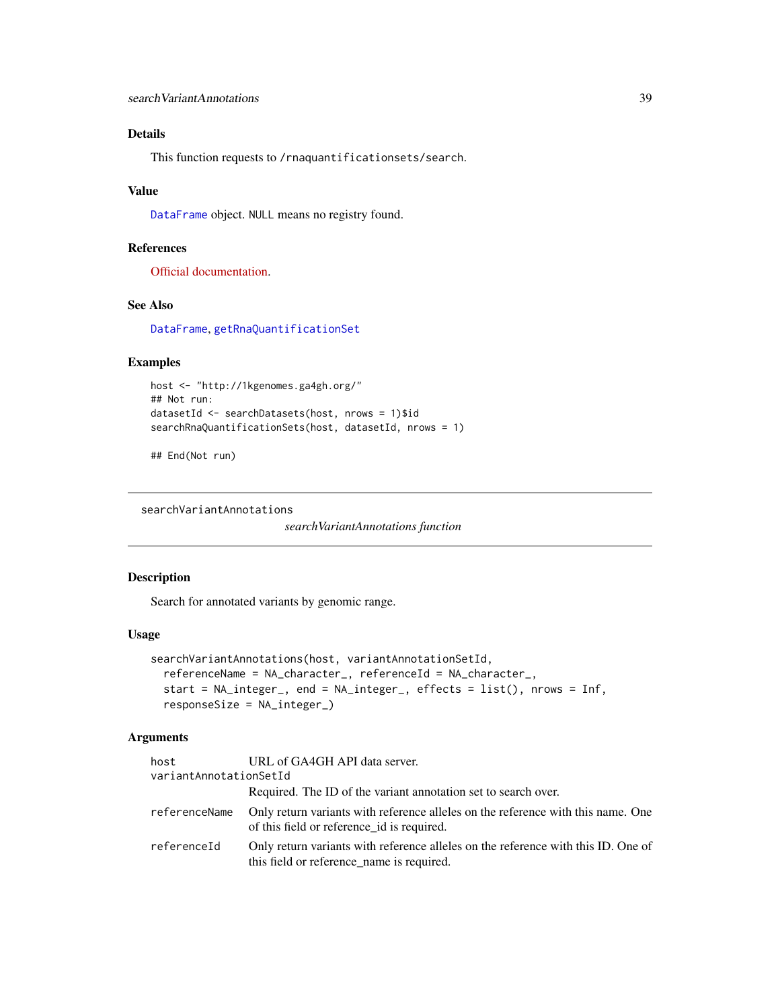# <span id="page-38-0"></span>Details

This function requests to /rnaquantificationsets/search.

# Value

[DataFrame](#page-0-0) object. NULL means no registry found.

#### References

[Official documentation.](http://ga4gh-schemas.readthedocs.io/en/latest/schemas/rna_quantification_service.proto.html#SearchRnaQuantificationSets)

# See Also

[DataFrame](#page-0-0), [getRnaQuantificationSet](#page-13-1)

#### Examples

```
host <- "http://1kgenomes.ga4gh.org/"
## Not run:
datasetId <- searchDatasets(host, nrows = 1)$id
searchRnaQuantificationSets(host, datasetId, nrows = 1)
```

```
## End(Not run)
```
searchVariantAnnotations

*searchVariantAnnotations function*

# Description

Search for annotated variants by genomic range.

#### Usage

```
searchVariantAnnotations(host, variantAnnotationSetId,
 referenceName = NA_character_, referenceId = NA_character_,
 start = NA_integer_, end = NA_integer_, effects = list(), nrows = Inf,
 responseSize = NA_integer_)
```
# Arguments

| host                   | URL of GA4GH API data server.                                                                                                  |
|------------------------|--------------------------------------------------------------------------------------------------------------------------------|
| variantAnnotationSetId |                                                                                                                                |
|                        | Required. The ID of the variant annotation set to search over.                                                                 |
| referenceName          | Only return variants with reference alleles on the reference with this name. One<br>of this field or reference id is required. |
| referenceId            | Only return variants with reference alleles on the reference with this ID. One of<br>this field or reference_name is required. |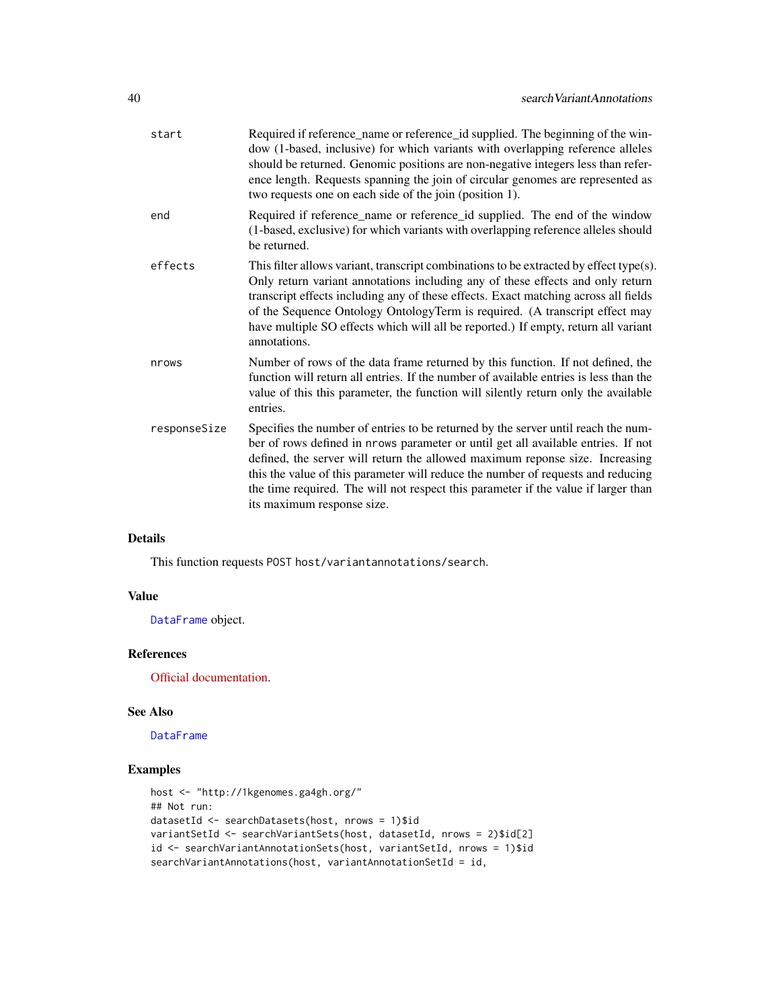| start        | Required if reference_name or reference_id supplied. The beginning of the win-<br>dow (1-based, inclusive) for which variants with overlapping reference alleles<br>should be returned. Genomic positions are non-negative integers less than refer-<br>ence length. Requests spanning the join of circular genomes are represented as<br>two requests one on each side of the join (position 1).                                                              |
|--------------|----------------------------------------------------------------------------------------------------------------------------------------------------------------------------------------------------------------------------------------------------------------------------------------------------------------------------------------------------------------------------------------------------------------------------------------------------------------|
| end          | Required if reference_name or reference_id supplied. The end of the window<br>(1-based, exclusive) for which variants with overlapping reference alleles should<br>be returned.                                                                                                                                                                                                                                                                                |
| effects      | This filter allows variant, transcript combinations to be extracted by effect type(s).<br>Only return variant annotations including any of these effects and only return<br>transcript effects including any of these effects. Exact matching across all fields<br>of the Sequence Ontology Ontology Term is required. (A transcript effect may<br>have multiple SO effects which will all be reported.) If empty, return all variant<br>annotations.          |
| nrows        | Number of rows of the data frame returned by this function. If not defined, the<br>function will return all entries. If the number of available entries is less than the<br>value of this this parameter, the function will silently return only the available<br>entries.                                                                                                                                                                                     |
| responseSize | Specifies the number of entries to be returned by the server until reach the num-<br>ber of rows defined in nrows parameter or until get all available entries. If not<br>defined, the server will return the allowed maximum reponse size. Increasing<br>this the value of this parameter will reduce the number of requests and reducing<br>the time required. The will not respect this parameter if the value if larger than<br>its maximum response size. |

# Details

This function requests POST host/variantannotations/search.

# Value

[DataFrame](#page-0-0) object.

# References

[Official documentation.](https://ga4gh-schemas.readthedocs.io/en/latest/schemas/allele_annotation_service.proto.html#SearchVariantAnnotations)

#### See Also

[DataFrame](#page-0-0)

# Examples

```
host <- "http://1kgenomes.ga4gh.org/"
## Not run:
datasetId <- searchDatasets(host, nrows = 1)$id
variantSetId <- searchVariantSets(host, datasetId, nrows = 2)$id[2]
id <- searchVariantAnnotationSets(host, variantSetId, nrows = 1)$id
searchVariantAnnotations(host, variantAnnotationSetId = id,
```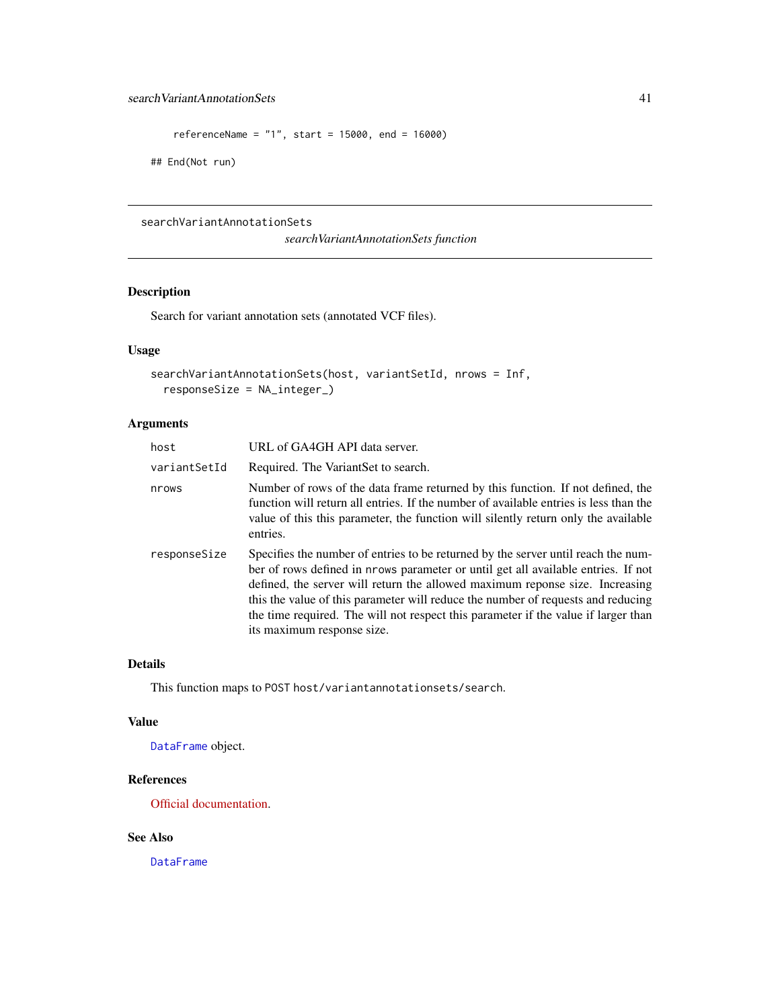```
referenceName = "1", start = 15000, end = 16000)
```
## End(Not run)

<span id="page-40-1"></span>searchVariantAnnotationSets

*searchVariantAnnotationSets function*

# Description

Search for variant annotation sets (annotated VCF files).

# Usage

```
searchVariantAnnotationSets(host, variantSetId, nrows = Inf,
  responseSize = NA_integer_)
```
# Arguments

| host         | URL of GA4GH API data server.                                                                                                                                                                                                                                                                                                                                                                                                                                  |
|--------------|----------------------------------------------------------------------------------------------------------------------------------------------------------------------------------------------------------------------------------------------------------------------------------------------------------------------------------------------------------------------------------------------------------------------------------------------------------------|
| variantSetId | Required. The VariantSet to search.                                                                                                                                                                                                                                                                                                                                                                                                                            |
| nrows        | Number of rows of the data frame returned by this function. If not defined, the<br>function will return all entries. If the number of available entries is less than the<br>value of this this parameter, the function will silently return only the available<br>entries.                                                                                                                                                                                     |
| responseSize | Specifies the number of entries to be returned by the server until reach the num-<br>ber of rows defined in nrows parameter or until get all available entries. If not<br>defined, the server will return the allowed maximum reponse size. Increasing<br>this the value of this parameter will reduce the number of requests and reducing<br>the time required. The will not respect this parameter if the value if larger than<br>its maximum response size. |

#### Details

This function maps to POST host/variantannotationsets/search.

#### Value

[DataFrame](#page-0-0) object.

# References

[Official documentation.](https://ga4gh-schemas.readthedocs.io/en/latest/schemas/allele_annotation_service.proto.html#SearchVariantAnnotationSets)

# See Also

[DataFrame](#page-0-0)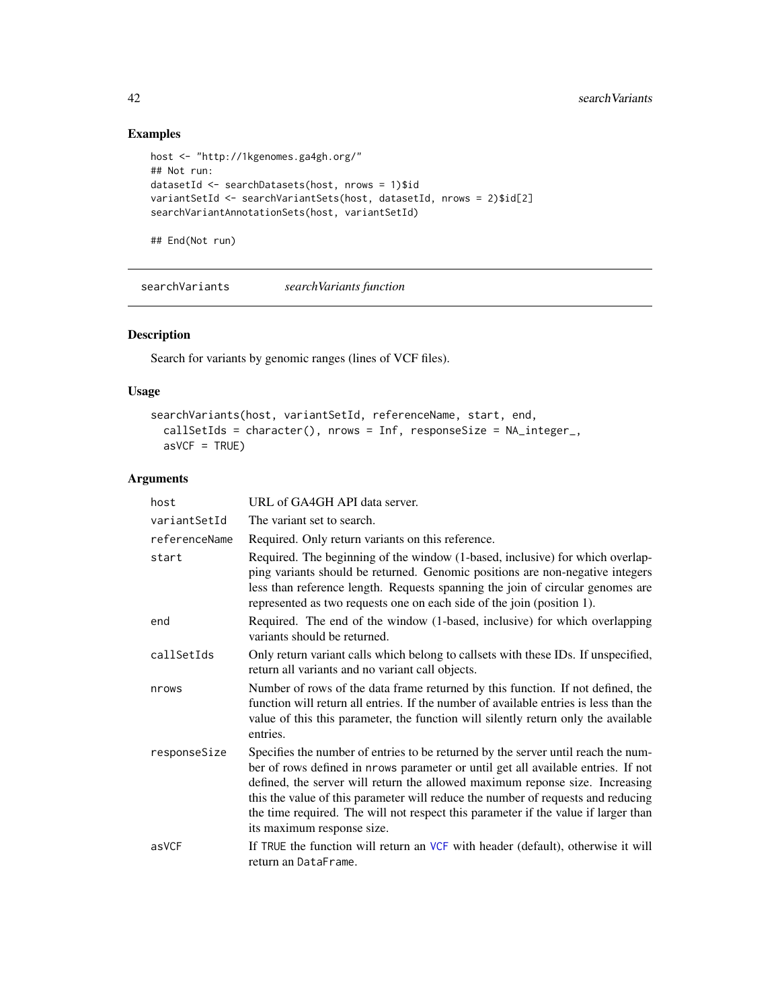# Examples

```
host <- "http://1kgenomes.ga4gh.org/"
## Not run:
datasetId <- searchDatasets(host, nrows = 1)$id
variantSetId <- searchVariantSets(host, datasetId, nrows = 2)$id[2]
searchVariantAnnotationSets(host, variantSetId)
```
## End(Not run)

<span id="page-41-1"></span>searchVariants *searchVariants function*

# Description

Search for variants by genomic ranges (lines of VCF files).

# Usage

```
searchVariants(host, variantSetId, referenceName, start, end,
  callSetIds = character(), nrows = Inf, responseSize = NA_integer_,
 asVCF = TRUE)
```
#### Arguments

| host          | URL of GA4GH API data server.                                                                                                                                                                                                                                                                                                                                                                                                                                  |
|---------------|----------------------------------------------------------------------------------------------------------------------------------------------------------------------------------------------------------------------------------------------------------------------------------------------------------------------------------------------------------------------------------------------------------------------------------------------------------------|
| variantSetId  | The variant set to search.                                                                                                                                                                                                                                                                                                                                                                                                                                     |
| referenceName | Required. Only return variants on this reference.                                                                                                                                                                                                                                                                                                                                                                                                              |
| start         | Required. The beginning of the window (1-based, inclusive) for which overlap-<br>ping variants should be returned. Genomic positions are non-negative integers<br>less than reference length. Requests spanning the join of circular genomes are<br>represented as two requests one on each side of the join (position 1).                                                                                                                                     |
| end           | Required. The end of the window (1-based, inclusive) for which overlapping<br>variants should be returned.                                                                                                                                                                                                                                                                                                                                                     |
| callSetIds    | Only return variant calls which belong to callsets with these IDs. If unspecified,<br>return all variants and no variant call objects.                                                                                                                                                                                                                                                                                                                         |
| nrows         | Number of rows of the data frame returned by this function. If not defined, the<br>function will return all entries. If the number of available entries is less than the<br>value of this this parameter, the function will silently return only the available<br>entries.                                                                                                                                                                                     |
| responseSize  | Specifies the number of entries to be returned by the server until reach the num-<br>ber of rows defined in nrows parameter or until get all available entries. If not<br>defined, the server will return the allowed maximum reponse size. Increasing<br>this the value of this parameter will reduce the number of requests and reducing<br>the time required. The will not respect this parameter if the value if larger than<br>its maximum response size. |
| asVCF         | If TRUE the function will return an VCF with header (default), otherwise it will<br>return an DataFrame.                                                                                                                                                                                                                                                                                                                                                       |

<span id="page-41-0"></span>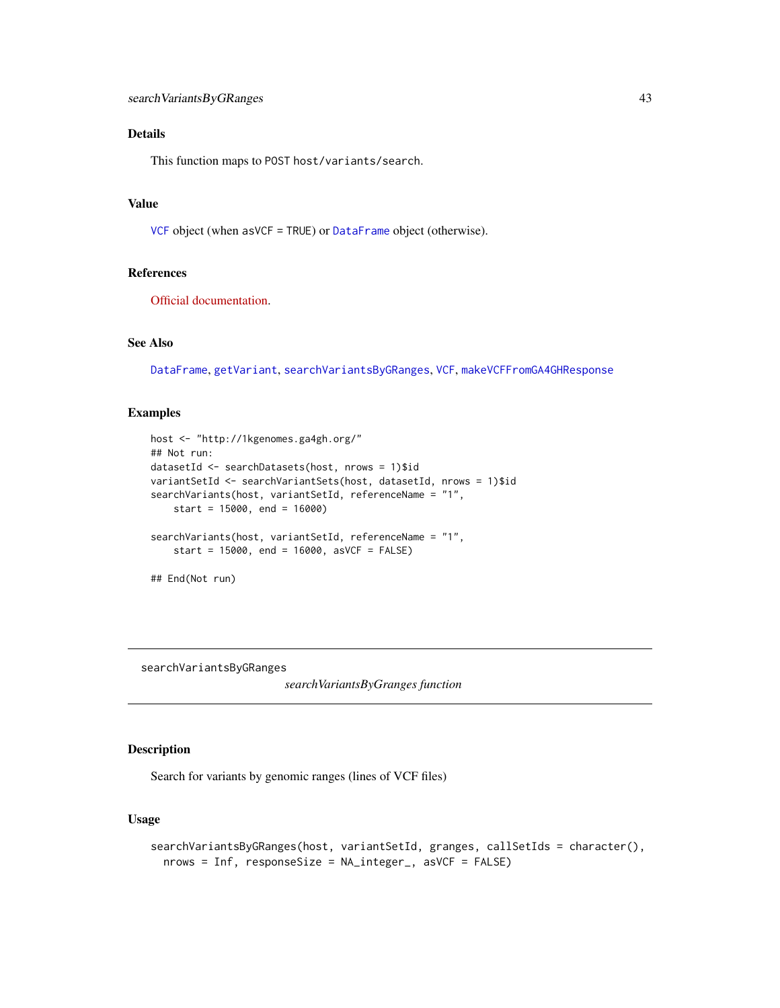# <span id="page-42-0"></span>Details

This function maps to POST host/variants/search.

# Value

[VCF](#page-0-0) object (when asVCF = TRUE) or [DataFrame](#page-0-0) object (otherwise).

#### References

[Official documentation.](https://ga4gh-schemas.readthedocs.io/en/latest/schemas/variant_service.proto.html#SearchVariants)

# See Also

[DataFrame](#page-0-0), [getVariant](#page-14-1), [searchVariantsByGRanges](#page-42-1), [VCF](#page-0-0), [makeVCFFromGA4GHResponse](#page-19-1)

# Examples

```
host <- "http://1kgenomes.ga4gh.org/"
## Not run:
datasetId <- searchDatasets(host, nrows = 1)$id
variantSetId <- searchVariantSets(host, datasetId, nrows = 1)$id
searchVariants(host, variantSetId, referenceName = "1",
    start = 15000, end = 16000)
searchVariants(host, variantSetId, referenceName = "1",
    start = 15000, end = 16000, asVCF = FALSE)
## End(Not run)
```
<span id="page-42-1"></span>searchVariantsByGRanges

*searchVariantsByGranges function*

# Description

Search for variants by genomic ranges (lines of VCF files)

#### Usage

```
searchVariantsByGRanges(host, variantSetId, granges, callSetIds = character(),
 nrows = Inf, responseSize = NA_integer_, asVCF = FALSE)
```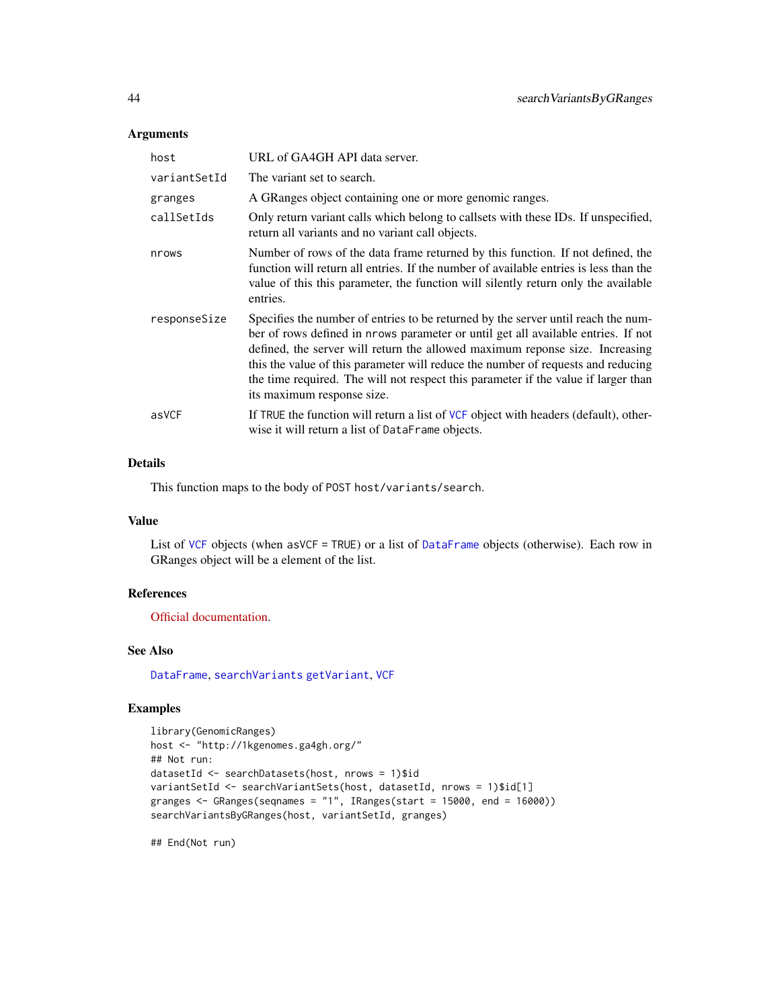# Arguments

| host         | URL of GA4GH API data server.                                                                                                                                                                                                                                                                                                                                                                                                                                  |
|--------------|----------------------------------------------------------------------------------------------------------------------------------------------------------------------------------------------------------------------------------------------------------------------------------------------------------------------------------------------------------------------------------------------------------------------------------------------------------------|
| variantSetId | The variant set to search.                                                                                                                                                                                                                                                                                                                                                                                                                                     |
| granges      | A GRanges object containing one or more genomic ranges.                                                                                                                                                                                                                                                                                                                                                                                                        |
| callSetIds   | Only return variant calls which belong to callsets with these IDs. If unspecified,<br>return all variants and no variant call objects.                                                                                                                                                                                                                                                                                                                         |
| nrows        | Number of rows of the data frame returned by this function. If not defined, the<br>function will return all entries. If the number of available entries is less than the<br>value of this this parameter, the function will silently return only the available<br>entries.                                                                                                                                                                                     |
| responseSize | Specifies the number of entries to be returned by the server until reach the num-<br>ber of rows defined in nrows parameter or until get all available entries. If not<br>defined, the server will return the allowed maximum reponse size. Increasing<br>this the value of this parameter will reduce the number of requests and reducing<br>the time required. The will not respect this parameter if the value if larger than<br>its maximum response size. |
| asVCF        | If TRUE the function will return a list of VCF object with headers (default), other-<br>wise it will return a list of DataFrame objects.                                                                                                                                                                                                                                                                                                                       |

# Details

This function maps to the body of POST host/variants/search.

#### Value

List of [VCF](#page-0-0) objects (when asVCF = TRUE) or a list of [DataFrame](#page-0-0) objects (otherwise). Each row in GRanges object will be a element of the list.

# References

[Official documentation.](https://ga4gh-schemas.readthedocs.io/en/latest/schemas/variant_service.proto.html#SearchVariants)

# See Also

[DataFrame](#page-0-0), [searchVariants](#page-41-1) [getVariant](#page-14-1), [VCF](#page-0-0)

# Examples

```
library(GenomicRanges)
host <- "http://1kgenomes.ga4gh.org/"
## Not run:
datasetId <- searchDatasets(host, nrows = 1)$id
variantSetId <- searchVariantSets(host, datasetId, nrows = 1)$id[1]
granges \leq GRanges(seqnames = "1", IRanges(start = 15000, end = 16000))
searchVariantsByGRanges(host, variantSetId, granges)
```
<span id="page-43-0"></span>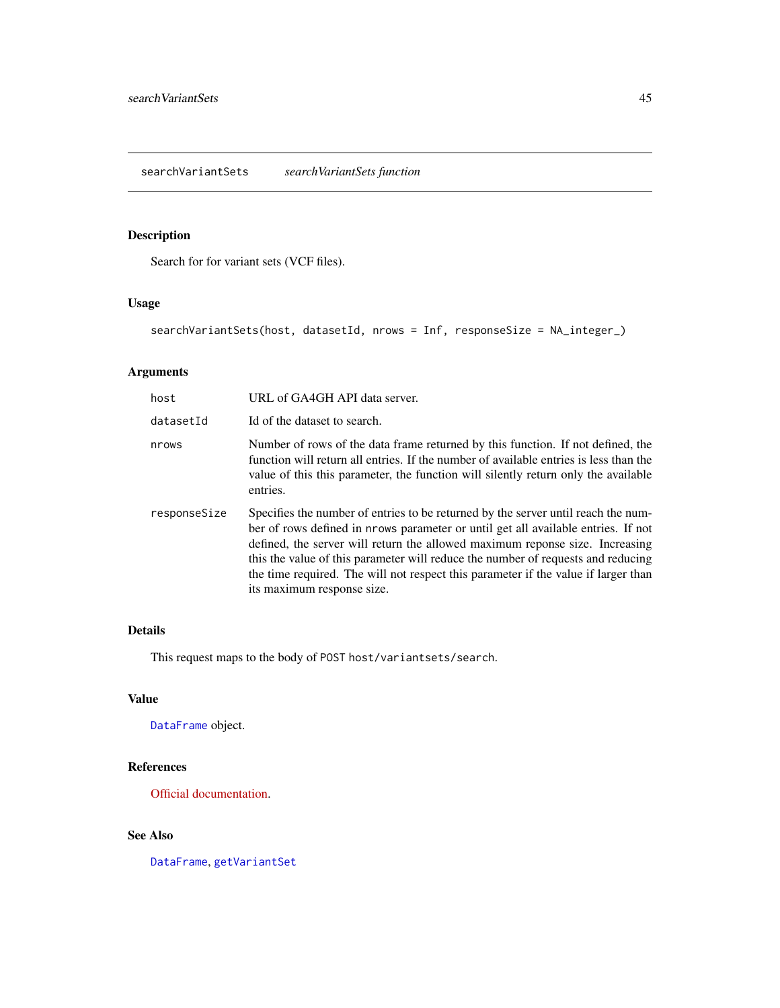<span id="page-44-1"></span><span id="page-44-0"></span>searchVariantSets *searchVariantSets function*

# Description

Search for for variant sets (VCF files).

# Usage

searchVariantSets(host, datasetId, nrows = Inf, responseSize = NA\_integer\_)

# Arguments

| host         | URL of GA4GH API data server.                                                                                                                                                                                                                                                                                                                                                                                                                                  |
|--------------|----------------------------------------------------------------------------------------------------------------------------------------------------------------------------------------------------------------------------------------------------------------------------------------------------------------------------------------------------------------------------------------------------------------------------------------------------------------|
| datasetId    | Id of the dataset to search.                                                                                                                                                                                                                                                                                                                                                                                                                                   |
| nrows        | Number of rows of the data frame returned by this function. If not defined, the<br>function will return all entries. If the number of available entries is less than the<br>value of this this parameter, the function will silently return only the available<br>entries.                                                                                                                                                                                     |
| responseSize | Specifies the number of entries to be returned by the server until reach the num-<br>ber of rows defined in nrows parameter or until get all available entries. If not<br>defined, the server will return the allowed maximum reponse size. Increasing<br>this the value of this parameter will reduce the number of requests and reducing<br>the time required. The will not respect this parameter if the value if larger than<br>its maximum response size. |

# Details

This request maps to the body of POST host/variantsets/search.

# Value

[DataFrame](#page-0-0) object.

# References

[Official documentation.](https://ga4gh-schemas.readthedocs.io/en/latest/schemas/variant_service.proto.html#SearchVariantSets)

# See Also

[DataFrame](#page-0-0), [getVariantSet](#page-16-1)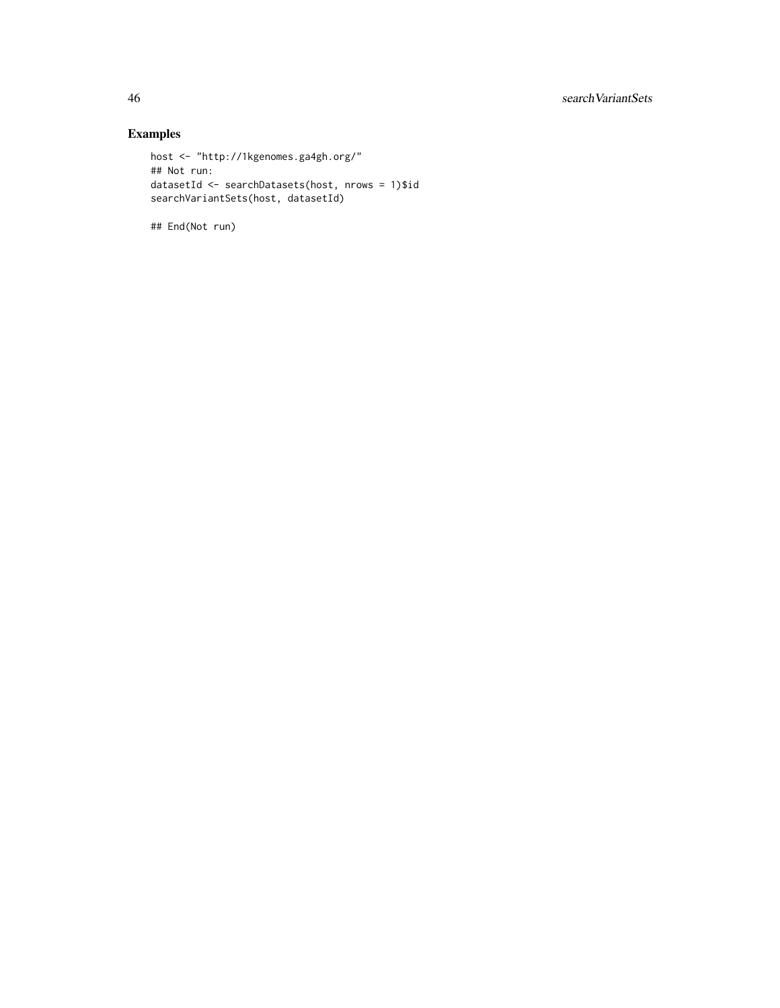# Examples

```
host <- "http://1kgenomes.ga4gh.org/"
## Not run:
datasetId <- searchDatasets(host, nrows = 1)$id
searchVariantSets(host, datasetId)
```